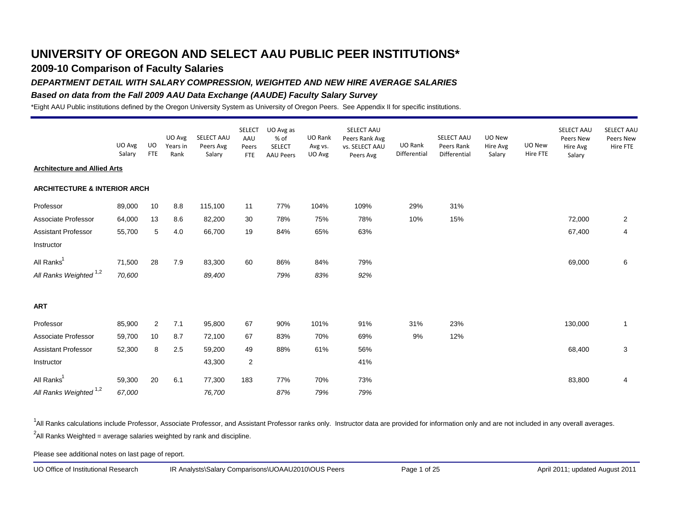## **2009-10 Comparison of Faculty Salaries**

### *DEPARTMENT DETAIL WITH SALARY COMPRESSION, WEIGHTED AND NEW HIRE AVERAGE SALARIES*

#### *Based on data from the Fall 2009 AAU Data Exchange (AAUDE) Faculty Salary Survey*

\*Eight AAU Public institutions defined by the Oregon University System as University of Oregon Peers. See Appendix II for specific institutions.

|                                         | UO Avg<br>Salary | UO<br><b>FTE</b> | UO Avg<br>Years in<br>Rank | SELECT AAU<br>Peers Avg<br>Salary | <b>SELECT</b><br>AAU<br>Peers<br><b>FTE</b> | UO Avg as<br>% of<br><b>SELECT</b><br><b>AAU Peers</b> | UO Rank<br>Avg vs.<br>UO Avg | SELECT AAU<br>Peers Rank Avg<br>vs. SELECT AAU<br>Peers Avg | UO Rank<br>Differential | SELECT AAU<br>Peers Rank<br>Differential | UO New<br>Hire Avg<br>Salary | UO New<br>Hire FTE | SELECT AAU<br>Peers New<br>Hire Avg<br>Salary | SELECT AAU<br>Peers New<br>Hire FTE |
|-----------------------------------------|------------------|------------------|----------------------------|-----------------------------------|---------------------------------------------|--------------------------------------------------------|------------------------------|-------------------------------------------------------------|-------------------------|------------------------------------------|------------------------------|--------------------|-----------------------------------------------|-------------------------------------|
| <b>Architecture and Allied Arts</b>     |                  |                  |                            |                                   |                                             |                                                        |                              |                                                             |                         |                                          |                              |                    |                                               |                                     |
| <b>ARCHITECTURE &amp; INTERIOR ARCH</b> |                  |                  |                            |                                   |                                             |                                                        |                              |                                                             |                         |                                          |                              |                    |                                               |                                     |
| Professor                               | 89,000           | 10               | 8.8                        | 115,100                           | 11                                          | 77%                                                    | 104%                         | 109%                                                        | 29%                     | 31%                                      |                              |                    |                                               |                                     |
| Associate Professor                     | 64,000           | 13               | 8.6                        | 82,200                            | 30                                          | 78%                                                    | 75%                          | 78%                                                         | 10%                     | 15%                                      |                              |                    | 72,000                                        | $\overline{a}$                      |
| <b>Assistant Professor</b>              | 55,700           | 5                | 4.0                        | 66,700                            | 19                                          | 84%                                                    | 65%                          | 63%                                                         |                         |                                          |                              |                    | 67,400                                        | 4                                   |
| Instructor                              |                  |                  |                            |                                   |                                             |                                                        |                              |                                                             |                         |                                          |                              |                    |                                               |                                     |
| All Ranks <sup>1</sup>                  | 71,500           | 28               | 7.9                        | 83,300                            | 60                                          | 86%                                                    | 84%                          | 79%                                                         |                         |                                          |                              |                    | 69,000                                        | 6                                   |
| All Ranks Weighted <sup>1,2</sup>       | 70,600           |                  |                            | 89,400                            |                                             | 79%                                                    | 83%                          | 92%                                                         |                         |                                          |                              |                    |                                               |                                     |
| <b>ART</b>                              |                  |                  |                            |                                   |                                             |                                                        |                              |                                                             |                         |                                          |                              |                    |                                               |                                     |
| Professor                               | 85,900           | 2                | 7.1                        | 95,800                            | 67                                          | 90%                                                    | 101%                         | 91%                                                         | 31%                     | 23%                                      |                              |                    | 130,000                                       | 1                                   |
| Associate Professor                     | 59,700           | 10               | 8.7                        | 72,100                            | 67                                          | 83%                                                    | 70%                          | 69%                                                         | 9%                      | 12%                                      |                              |                    |                                               |                                     |
| Assistant Professor                     | 52,300           | 8                | 2.5                        | 59,200                            | 49                                          | 88%                                                    | 61%                          | 56%                                                         |                         |                                          |                              |                    | 68,400                                        | 3                                   |
| Instructor                              |                  |                  |                            | 43,300                            | $\overline{2}$                              |                                                        |                              | 41%                                                         |                         |                                          |                              |                    |                                               |                                     |
| All Ranks <sup>1</sup>                  | 59,300           | 20               | 6.1                        | 77,300                            | 183                                         | 77%                                                    | 70%                          | 73%                                                         |                         |                                          |                              |                    | 83,800                                        | 4                                   |
| All Ranks Weighted <sup>1,2</sup>       | 67,000           |                  |                            | 76,700                            |                                             | 87%                                                    | 79%                          | 79%                                                         |                         |                                          |                              |                    |                                               |                                     |

<sup>1</sup>All Ranks calculations include Professor, Associate Professor, and Assistant Professor ranks only. Instructor data are provided for information only and are not included in any overall averages.  $^2$ All Ranks Weighted = average salaries weighted by rank and discipline.

Please see additional notes on last page of report.

UO Office of Institutional Research IR Analysts\Salary Comparisons\UOAAU2010\OUS Peers Page 1 of 25 April 2011; updated August 2011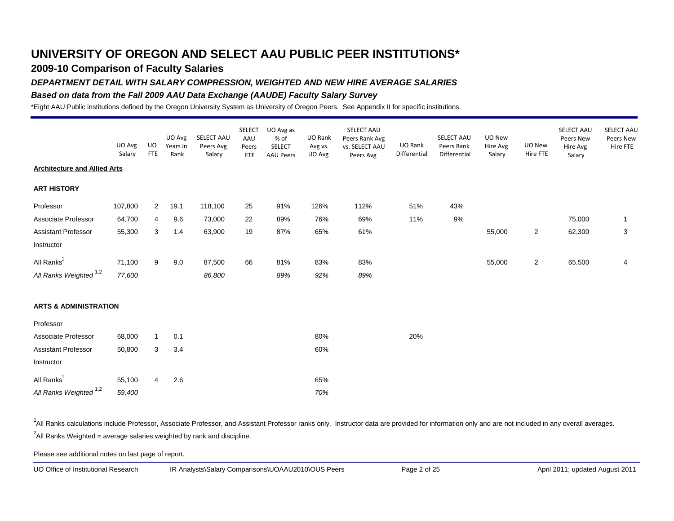## **2009-10 Comparison of Faculty Salaries**

#### *DEPARTMENT DETAIL WITH SALARY COMPRESSION, WEIGHTED AND NEW HIRE AVERAGE SALARIES*

#### *Based on data from the Fall 2009 AAU Data Exchange (AAUDE) Faculty Salary Survey*

\*Eight AAU Public institutions defined by the Oregon University System as University of Oregon Peers. See Appendix II for specific institutions.

|                                     | UO Avg<br>Salary | UO.<br><b>FTE</b> | UO Avg<br>Years in<br>Rank | SELECT AAU<br>Peers Avg<br>Salary | <b>SELECT</b><br>AAU<br>Peers<br><b>FTE</b> | UO Avg as<br>% of<br><b>SELECT</b><br><b>AAU Peers</b> | UO Rank<br>Avg vs.<br>UO Avg | SELECT AAU<br>Peers Rank Avg<br>vs. SELECT AAU<br>Peers Avg | UO Rank<br>Differential | SELECT AAU<br>Peers Rank<br>Differential | UO New<br>Hire Avg<br>Salary | UO New<br>Hire FTE | SELECT AAU<br>Peers New<br>Hire Avg<br>Salary | SELECT AAL<br>Peers New<br>Hire FTE |
|-------------------------------------|------------------|-------------------|----------------------------|-----------------------------------|---------------------------------------------|--------------------------------------------------------|------------------------------|-------------------------------------------------------------|-------------------------|------------------------------------------|------------------------------|--------------------|-----------------------------------------------|-------------------------------------|
| <b>Architecture and Allied Arts</b> |                  |                   |                            |                                   |                                             |                                                        |                              |                                                             |                         |                                          |                              |                    |                                               |                                     |
| <b>ART HISTORY</b>                  |                  |                   |                            |                                   |                                             |                                                        |                              |                                                             |                         |                                          |                              |                    |                                               |                                     |
| Professor                           | 107,800          | $\overline{2}$    | 19.1                       | 118,100                           | 25                                          | 91%                                                    | 126%                         | 112%                                                        | 51%                     | 43%                                      |                              |                    |                                               |                                     |
| Associate Professor                 | 64,700           | 4                 | 9.6                        | 73,000                            | 22                                          | 89%                                                    | 76%                          | 69%                                                         | 11%                     | 9%                                       |                              |                    | 75,000                                        | $\mathbf{1}$                        |
| <b>Assistant Professor</b>          | 55,300           | 3                 | 1.4                        | 63,900                            | 19                                          | 87%                                                    | 65%                          | 61%                                                         |                         |                                          | 55,000                       | $\overline{2}$     | 62,300                                        | 3                                   |
| Instructor                          |                  |                   |                            |                                   |                                             |                                                        |                              |                                                             |                         |                                          |                              |                    |                                               |                                     |
| All Ranks <sup>1</sup>              | 71,100           | 9                 | 9.0                        | 87,500                            | 66                                          | 81%                                                    | 83%                          | 83%                                                         |                         |                                          | 55,000                       | $\overline{2}$     | 65,500                                        | 4                                   |
| All Ranks Weighted <sup>1,2</sup>   | 77,600           |                   |                            | 86,800                            |                                             | 89%                                                    | 92%                          | 89%                                                         |                         |                                          |                              |                    |                                               |                                     |
| <b>ARTS &amp; ADMINISTRATION</b>    |                  |                   |                            |                                   |                                             |                                                        |                              |                                                             |                         |                                          |                              |                    |                                               |                                     |
| Professor                           |                  |                   |                            |                                   |                                             |                                                        |                              |                                                             |                         |                                          |                              |                    |                                               |                                     |
| Associate Professor                 | 68,000           | $\mathbf{1}$      | 0.1                        |                                   |                                             |                                                        | 80%                          |                                                             | 20%                     |                                          |                              |                    |                                               |                                     |
| <b>Assistant Professor</b>          | 50,800           | 3                 | 3.4                        |                                   |                                             |                                                        | 60%                          |                                                             |                         |                                          |                              |                    |                                               |                                     |
| Instructor                          |                  |                   |                            |                                   |                                             |                                                        |                              |                                                             |                         |                                          |                              |                    |                                               |                                     |
| All Ranks <sup>1</sup>              | 55,100           | $\overline{4}$    | 2.6                        |                                   |                                             |                                                        | 65%                          |                                                             |                         |                                          |                              |                    |                                               |                                     |
| All Ranks Weighted <sup>1,2</sup>   | 59,400           |                   |                            |                                   |                                             |                                                        | 70%                          |                                                             |                         |                                          |                              |                    |                                               |                                     |

<sup>1</sup>All Ranks calculations include Professor, Associate Professor, and Assistant Professor ranks only. Instructor data are provided for information only and are not included in any overall averages.  $^2$ All Ranks Weighted = average salaries weighted by rank and discipline.

Please see additional notes on last page of report.

UO Office of Institutional Research IR Analysts\Salary Comparisons\UOAAU2010\OUS Peers Page 2 of 25 April 2011; updated August 2011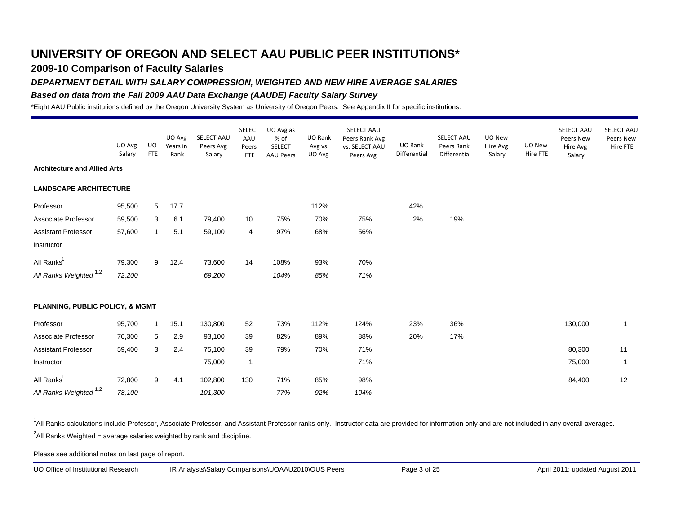## **2009-10 Comparison of Faculty Salaries**

#### *DEPARTMENT DETAIL WITH SALARY COMPRESSION, WEIGHTED AND NEW HIRE AVERAGE SALARIES*

#### *Based on data from the Fall 2009 AAU Data Exchange (AAUDE) Faculty Salary Survey*

\*Eight AAU Public institutions defined by the Oregon University System as University of Oregon Peers. See Appendix II for specific institutions.

|                                            | UO Avg<br>Salary | <b>UO</b><br><b>FTE</b> | UO Avg<br>Years in<br>Rank | SELECT AAU<br>Peers Avg<br>Salary | <b>SELECT</b><br>AAU<br>Peers<br><b>FTE</b> | UO Avg as<br>% of<br><b>SELECT</b><br><b>AAU Peers</b> | UO Rank<br>Avg vs.<br>UO Avg | SELECT AAU<br>Peers Rank Avg<br>vs. SELECT AAU<br>Peers Avg | UO Rank<br>Differential | SELECT AAU<br>Peers Rank<br>Differential | UO New<br>Hire Avg<br>Salary | UO New<br>Hire FTE | SELECT AAU<br>Peers New<br>Hire Avg<br>Salary | SELECT AAL<br>Peers New<br>Hire FTE |
|--------------------------------------------|------------------|-------------------------|----------------------------|-----------------------------------|---------------------------------------------|--------------------------------------------------------|------------------------------|-------------------------------------------------------------|-------------------------|------------------------------------------|------------------------------|--------------------|-----------------------------------------------|-------------------------------------|
| <b>Architecture and Allied Arts</b>        |                  |                         |                            |                                   |                                             |                                                        |                              |                                                             |                         |                                          |                              |                    |                                               |                                     |
| <b>LANDSCAPE ARCHITECTURE</b>              |                  |                         |                            |                                   |                                             |                                                        |                              |                                                             |                         |                                          |                              |                    |                                               |                                     |
| Professor                                  | 95,500           | 5                       | 17.7                       |                                   |                                             |                                                        | 112%                         |                                                             | 42%                     |                                          |                              |                    |                                               |                                     |
| Associate Professor                        | 59,500           | 3                       | 6.1                        | 79,400                            | 10                                          | 75%                                                    | 70%                          | 75%                                                         | 2%                      | 19%                                      |                              |                    |                                               |                                     |
| <b>Assistant Professor</b>                 | 57,600           | $\mathbf{1}$            | 5.1                        | 59,100                            | 4                                           | 97%                                                    | 68%                          | 56%                                                         |                         |                                          |                              |                    |                                               |                                     |
| Instructor                                 |                  |                         |                            |                                   |                                             |                                                        |                              |                                                             |                         |                                          |                              |                    |                                               |                                     |
| All Ranks <sup>1</sup>                     | 79,300           | 9                       | 12.4                       | 73,600                            | 14                                          | 108%                                                   | 93%                          | 70%                                                         |                         |                                          |                              |                    |                                               |                                     |
| All Ranks Weighted <sup>1,2</sup>          | 72,200           |                         |                            | 69,200                            |                                             | 104%                                                   | 85%                          | 71%                                                         |                         |                                          |                              |                    |                                               |                                     |
| <b>PLANNING, PUBLIC POLICY, &amp; MGMT</b> |                  |                         |                            |                                   |                                             |                                                        |                              |                                                             |                         |                                          |                              |                    |                                               |                                     |
| Professor                                  | 95,700           | $\mathbf{1}$            | 15.1                       | 130,800                           | 52                                          | 73%                                                    | 112%                         | 124%                                                        | 23%                     | 36%                                      |                              |                    | 130,000                                       | $\mathbf{1}$                        |
| Associate Professor                        | 76,300           | 5                       | 2.9                        | 93,100                            | 39                                          | 82%                                                    | 89%                          | 88%                                                         | 20%                     | 17%                                      |                              |                    |                                               |                                     |
| Assistant Professor                        | 59,400           | 3                       | 2.4                        | 75,100                            | 39                                          | 79%                                                    | 70%                          | 71%                                                         |                         |                                          |                              |                    | 80,300                                        | 11                                  |
| Instructor                                 |                  |                         |                            | 75,000                            | $\mathbf{1}$                                |                                                        |                              | 71%                                                         |                         |                                          |                              |                    | 75,000                                        | $\mathbf{1}$                        |
| All Ranks <sup>1</sup>                     | 72,800           | 9                       | 4.1                        | 102,800                           | 130                                         | 71%                                                    | 85%                          | 98%                                                         |                         |                                          |                              |                    | 84,400                                        | 12                                  |
| All Ranks Weighted 1,2                     | 78,100           |                         |                            | 101,300                           |                                             | 77%                                                    | 92%                          | 104%                                                        |                         |                                          |                              |                    |                                               |                                     |

<sup>1</sup>All Ranks calculations include Professor, Associate Professor, and Assistant Professor ranks only. Instructor data are provided for information only and are not included in any overall averages.  $^2$ All Ranks Weighted = average salaries weighted by rank and discipline.

Please see additional notes on last page of report.

UO Office of Institutional Research IR Analysts\Salary Comparisons\UOAAU2010\OUS Peers Page 3 of 25 April 2011; updated August 2011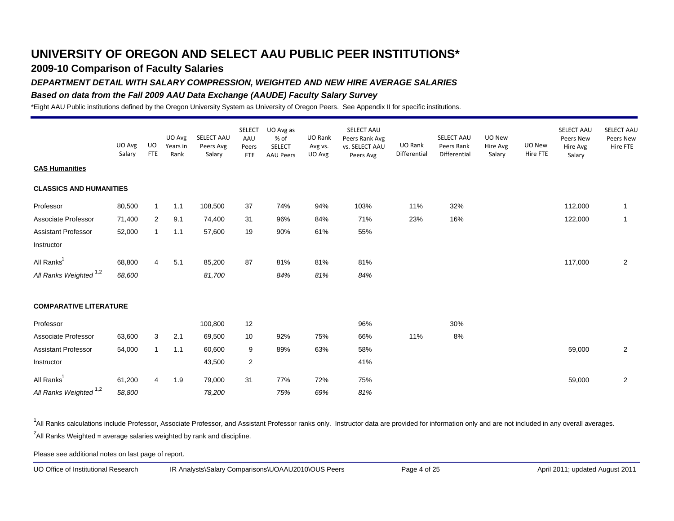## **2009-10 Comparison of Faculty Salaries**

### *DEPARTMENT DETAIL WITH SALARY COMPRESSION, WEIGHTED AND NEW HIRE AVERAGE SALARIES*

#### *Based on data from the Fall 2009 AAU Data Exchange (AAUDE) Faculty Salary Survey*

\*Eight AAU Public institutions defined by the Oregon University System as University of Oregon Peers. See Appendix II for specific institutions.

|                                   | UO Avg<br>Salary | UO.<br><b>FTE</b> | UO Avg<br>Years in<br>Rank | SELECT AAU<br>Peers Avg<br>Salary | <b>SELECT</b><br>AAU<br>Peers<br><b>FTE</b> | UO Avg as<br>% of<br><b>SELECT</b><br><b>AAU Peers</b> | UO Rank<br>Avg vs.<br>UO Avg | SELECT AAU<br>Peers Rank Avg<br>vs. SELECT AAU<br>Peers Avg | UO Rank<br>Differential | SELECT AAU<br>Peers Rank<br>Differential | UO New<br>Hire Avg<br>Salary | UO New<br>Hire FTE | SELECT AAU<br>Peers New<br>Hire Avg<br>Salary | <b>SELECT AAU</b><br>Peers New<br>Hire FTE |
|-----------------------------------|------------------|-------------------|----------------------------|-----------------------------------|---------------------------------------------|--------------------------------------------------------|------------------------------|-------------------------------------------------------------|-------------------------|------------------------------------------|------------------------------|--------------------|-----------------------------------------------|--------------------------------------------|
| <b>CAS Humanities</b>             |                  |                   |                            |                                   |                                             |                                                        |                              |                                                             |                         |                                          |                              |                    |                                               |                                            |
| <b>CLASSICS AND HUMANITIES</b>    |                  |                   |                            |                                   |                                             |                                                        |                              |                                                             |                         |                                          |                              |                    |                                               |                                            |
| Professor                         | 80,500           | $\mathbf{1}$      | 1.1                        | 108,500                           | 37                                          | 74%                                                    | 94%                          | 103%                                                        | 11%                     | 32%                                      |                              |                    | 112,000                                       | $\mathbf{1}$                               |
| Associate Professor               | 71,400           | $\overline{2}$    | 9.1                        | 74,400                            | 31                                          | 96%                                                    | 84%                          | 71%                                                         | 23%                     | 16%                                      |                              |                    | 122,000                                       | $\overline{1}$                             |
| <b>Assistant Professor</b>        | 52,000           | $\mathbf{1}$      | 1.1                        | 57,600                            | 19                                          | 90%                                                    | 61%                          | 55%                                                         |                         |                                          |                              |                    |                                               |                                            |
| Instructor                        |                  |                   |                            |                                   |                                             |                                                        |                              |                                                             |                         |                                          |                              |                    |                                               |                                            |
| All Ranks <sup>1</sup>            | 68,800           | $\overline{4}$    | 5.1                        | 85,200                            | 87                                          | 81%                                                    | 81%                          | 81%                                                         |                         |                                          |                              |                    | 117,000                                       | $\overline{2}$                             |
| All Ranks Weighted <sup>1,2</sup> | 68,600           |                   |                            | 81,700                            |                                             | 84%                                                    | 81%                          | 84%                                                         |                         |                                          |                              |                    |                                               |                                            |
| <b>COMPARATIVE LITERATURE</b>     |                  |                   |                            |                                   |                                             |                                                        |                              |                                                             |                         |                                          |                              |                    |                                               |                                            |
| Professor                         |                  |                   |                            | 100,800                           | 12                                          |                                                        |                              | 96%                                                         |                         | 30%                                      |                              |                    |                                               |                                            |
| Associate Professor               | 63,600           | 3                 | 2.1                        | 69,500                            | 10                                          | 92%                                                    | 75%                          | 66%                                                         | 11%                     | 8%                                       |                              |                    |                                               |                                            |
| <b>Assistant Professor</b>        | 54,000           | $\mathbf{1}$      | 1.1                        | 60,600                            | 9                                           | 89%                                                    | 63%                          | 58%                                                         |                         |                                          |                              |                    | 59,000                                        | $\overline{2}$                             |
| Instructor                        |                  |                   |                            | 43,500                            | $\overline{2}$                              |                                                        |                              | 41%                                                         |                         |                                          |                              |                    |                                               |                                            |
| All Ranks <sup>1</sup>            | 61,200           | 4                 | 1.9                        | 79,000                            | 31                                          | 77%                                                    | 72%                          | 75%                                                         |                         |                                          |                              |                    | 59,000                                        | $\overline{2}$                             |
| All Ranks Weighted <sup>1,2</sup> | 58,800           |                   |                            | 78,200                            |                                             | 75%                                                    | 69%                          | 81%                                                         |                         |                                          |                              |                    |                                               |                                            |

<sup>1</sup>All Ranks calculations include Professor, Associate Professor, and Assistant Professor ranks only. Instructor data are provided for information only and are not included in any overall averages.  $^2$ All Ranks Weighted = average salaries weighted by rank and discipline.

Please see additional notes on last page of report.

UO Office of Institutional Research IR Analysts\Salary Comparisons\UOAAU2010\OUS Peers Page 4 of 25 April 2011; updated August 2011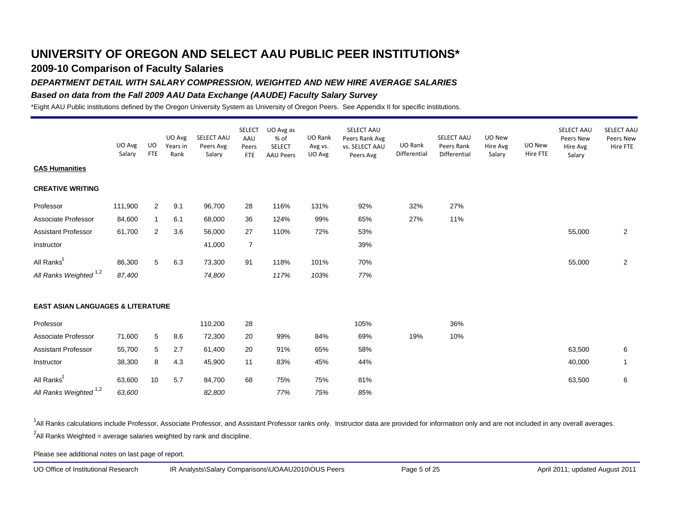## **2009-10 Comparison of Faculty Salaries**

#### *DEPARTMENT DETAIL WITH SALARY COMPRESSION, WEIGHTED AND NEW HIRE AVERAGE SALARIES*

#### *Based on data from the Fall 2009 AAU Data Exchange (AAUDE) Faculty Salary Survey*

\*Eight AAU Public institutions defined by the Oregon University System as University of Oregon Peers. See Appendix II for specific institutions.

|                                              | UO Avg<br>Salary | UO<br><b>FTE</b> | UO Avg<br>Years in<br>Rank | SELECT AAU<br>Peers Avg<br>Salary | <b>SELECT</b><br>AAU<br>Peers<br><b>FTE</b> | UO Avg as<br>% of<br><b>SELECT</b><br><b>AAU Peers</b> | UO Rank<br>Avg vs.<br>UO Avg | SELECT AAU<br>Peers Rank Avg<br>vs. SELECT AAU<br>Peers Avg | UO Rank<br>Differential | SELECT AAU<br>Peers Rank<br>Differential | UO New<br>Hire Avg<br>Salary | UO New<br>Hire FTE | SELECT AAU<br>Peers New<br>Hire Avg<br>Salary | SELECT AAU<br>Peers New<br>Hire FTE |
|----------------------------------------------|------------------|------------------|----------------------------|-----------------------------------|---------------------------------------------|--------------------------------------------------------|------------------------------|-------------------------------------------------------------|-------------------------|------------------------------------------|------------------------------|--------------------|-----------------------------------------------|-------------------------------------|
| <b>CAS Humanities</b>                        |                  |                  |                            |                                   |                                             |                                                        |                              |                                                             |                         |                                          |                              |                    |                                               |                                     |
| <b>CREATIVE WRITING</b>                      |                  |                  |                            |                                   |                                             |                                                        |                              |                                                             |                         |                                          |                              |                    |                                               |                                     |
| Professor                                    | 111,900          | $\overline{2}$   | 9.1                        | 96,700                            | 28                                          | 116%                                                   | 131%                         | 92%                                                         | 32%                     | 27%                                      |                              |                    |                                               |                                     |
| Associate Professor                          | 84,600           | $\mathbf{1}$     | 6.1                        | 68,000                            | 36                                          | 124%                                                   | 99%                          | 65%                                                         | 27%                     | 11%                                      |                              |                    |                                               |                                     |
| <b>Assistant Professor</b>                   | 61,700           | $\overline{2}$   | 3.6                        | 56,000                            | 27                                          | 110%                                                   | 72%                          | 53%                                                         |                         |                                          |                              |                    | 55,000                                        | $\overline{2}$                      |
| Instructor                                   |                  |                  |                            | 41,000                            | 7                                           |                                                        |                              | 39%                                                         |                         |                                          |                              |                    |                                               |                                     |
| All Ranks <sup>1</sup>                       | 86,300           | 5                | 6.3                        | 73,300                            | 91                                          | 118%                                                   | 101%                         | 70%                                                         |                         |                                          |                              |                    | 55,000                                        | 2                                   |
| All Ranks Weighted <sup>1,2</sup>            | 87,400           |                  |                            | 74,800                            |                                             | 117%                                                   | 103%                         | 77%                                                         |                         |                                          |                              |                    |                                               |                                     |
| <b>EAST ASIAN LANGUAGES &amp; LITERATURE</b> |                  |                  |                            |                                   |                                             |                                                        |                              |                                                             |                         |                                          |                              |                    |                                               |                                     |
| Professor                                    |                  |                  |                            | 110,200                           | 28                                          |                                                        |                              | 105%                                                        |                         | 36%                                      |                              |                    |                                               |                                     |
| Associate Professor                          | 71,600           | 5                | 8.6                        | 72,300                            | 20                                          | 99%                                                    | 84%                          | 69%                                                         | 19%                     | 10%                                      |                              |                    |                                               |                                     |
| <b>Assistant Professor</b>                   | 55,700           | 5                | 2.7                        | 61,400                            | 20                                          | 91%                                                    | 65%                          | 58%                                                         |                         |                                          |                              |                    | 63,500                                        | 6                                   |
| Instructor                                   | 38,300           | 8                | 4.3                        | 45,900                            | 11                                          | 83%                                                    | 45%                          | 44%                                                         |                         |                                          |                              |                    | 40,000                                        | $\mathbf{1}$                        |
| All Ranks <sup>1</sup>                       | 63,600           | 10               | 5.7                        | 84,700                            | 68                                          | 75%                                                    | 75%                          | 81%                                                         |                         |                                          |                              |                    | 63,500                                        | 6                                   |
| All Ranks Weighted <sup>1,2</sup>            | 63,600           |                  |                            | 82,800                            |                                             | 77%                                                    | 75%                          | 85%                                                         |                         |                                          |                              |                    |                                               |                                     |

<sup>1</sup>All Ranks calculations include Professor, Associate Professor, and Assistant Professor ranks only. Instructor data are provided for information only and are not included in any overall averages.  $^2$ All Ranks Weighted = average salaries weighted by rank and discipline.

Please see additional notes on last page of report.

UO Office of Institutional Research IR Analysts\Salary Comparisons\UOAAU2010\OUS Peers Page 5 of 25 April 2011; updated August 2011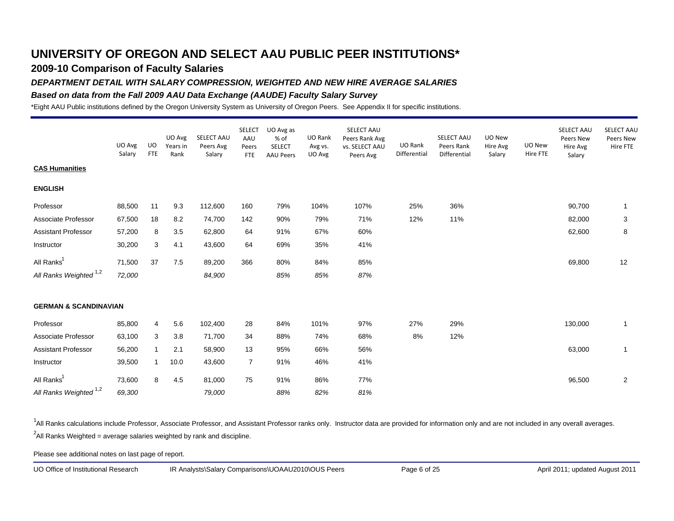## **2009-10 Comparison of Faculty Salaries**

### *DEPARTMENT DETAIL WITH SALARY COMPRESSION, WEIGHTED AND NEW HIRE AVERAGE SALARIES*

#### *Based on data from the Fall 2009 AAU Data Exchange (AAUDE) Faculty Salary Survey*

\*Eight AAU Public institutions defined by the Oregon University System as University of Oregon Peers. See Appendix II for specific institutions.

|                                   | UO Avg<br>Salary | UO.<br><b>FTE</b> | UO Avg<br>Years in<br>Rank | SELECT AAU<br>Peers Avg<br>Salary | <b>SELECT</b><br>AAU<br>Peers<br><b>FTE</b> | UO Avg as<br>% of<br><b>SELECT</b><br><b>AAU Peers</b> | UO Rank<br>Avg vs.<br>UO Avg | SELECT AAU<br>Peers Rank Avg<br>vs. SELECT AAU<br>Peers Avg | UO Rank<br>Differential | SELECT AAU<br>Peers Rank<br>Differential | UO New<br>Hire Avg<br>Salary | UO New<br>Hire FTE | SELECT AAU<br>Peers New<br>Hire Avg<br>Salary | SELECT AAL<br>Peers New<br>Hire FTE |
|-----------------------------------|------------------|-------------------|----------------------------|-----------------------------------|---------------------------------------------|--------------------------------------------------------|------------------------------|-------------------------------------------------------------|-------------------------|------------------------------------------|------------------------------|--------------------|-----------------------------------------------|-------------------------------------|
| <b>CAS Humanities</b>             |                  |                   |                            |                                   |                                             |                                                        |                              |                                                             |                         |                                          |                              |                    |                                               |                                     |
| <b>ENGLISH</b>                    |                  |                   |                            |                                   |                                             |                                                        |                              |                                                             |                         |                                          |                              |                    |                                               |                                     |
| Professor                         | 88,500           | 11                | 9.3                        | 112,600                           | 160                                         | 79%                                                    | 104%                         | 107%                                                        | 25%                     | 36%                                      |                              |                    | 90,700                                        | -1                                  |
| Associate Professor               | 67,500           | 18                | 8.2                        | 74,700                            | 142                                         | 90%                                                    | 79%                          | 71%                                                         | 12%                     | 11%                                      |                              |                    | 82,000                                        | 3                                   |
| <b>Assistant Professor</b>        | 57,200           | 8                 | 3.5                        | 62,800                            | 64                                          | 91%                                                    | 67%                          | 60%                                                         |                         |                                          |                              |                    | 62,600                                        | 8                                   |
| Instructor                        | 30,200           | 3                 | 4.1                        | 43,600                            | 64                                          | 69%                                                    | 35%                          | 41%                                                         |                         |                                          |                              |                    |                                               |                                     |
| All Ranks <sup>1</sup>            | 71,500           | 37                | 7.5                        | 89,200                            | 366                                         | 80%                                                    | 84%                          | 85%                                                         |                         |                                          |                              |                    | 69,800                                        | 12                                  |
| All Ranks Weighted <sup>1,2</sup> | 72,000           |                   |                            | 84,900                            |                                             | 85%                                                    | 85%                          | 87%                                                         |                         |                                          |                              |                    |                                               |                                     |
| <b>GERMAN &amp; SCANDINAVIAN</b>  |                  |                   |                            |                                   |                                             |                                                        |                              |                                                             |                         |                                          |                              |                    |                                               |                                     |
| Professor                         | 85,800           | 4                 | 5.6                        | 102,400                           | 28                                          | 84%                                                    | 101%                         | 97%                                                         | 27%                     | 29%                                      |                              |                    | 130,000                                       | $\mathbf{1}$                        |
| Associate Professor               | 63,100           | 3                 | 3.8                        | 71,700                            | 34                                          | 88%                                                    | 74%                          | 68%                                                         | 8%                      | 12%                                      |                              |                    |                                               |                                     |
| <b>Assistant Professor</b>        | 56,200           | $\mathbf{1}$      | 2.1                        | 58,900                            | 13                                          | 95%                                                    | 66%                          | 56%                                                         |                         |                                          |                              |                    | 63,000                                        | $\mathbf{1}$                        |
| Instructor                        | 39,500           | $\mathbf{1}$      | 10.0                       | 43,600                            | $\overline{7}$                              | 91%                                                    | 46%                          | 41%                                                         |                         |                                          |                              |                    |                                               |                                     |
| All Ranks <sup>1</sup>            | 73,600           | 8                 | 4.5                        | 81,000                            | 75                                          | 91%                                                    | 86%                          | 77%                                                         |                         |                                          |                              |                    | 96,500                                        | $\overline{2}$                      |
| All Ranks Weighted <sup>1,2</sup> | 69,300           |                   |                            | 79,000                            |                                             | 88%                                                    | 82%                          | 81%                                                         |                         |                                          |                              |                    |                                               |                                     |

<sup>1</sup>All Ranks calculations include Professor, Associate Professor, and Assistant Professor ranks only. Instructor data are provided for information only and are not included in any overall averages.  $^2$ All Ranks Weighted = average salaries weighted by rank and discipline.

Please see additional notes on last page of report.

UO Office of Institutional Research IR Analysts\Salary Comparisons\UOAAU2010\OUS Peers Page 6 of 25 April 2011; updated August 2011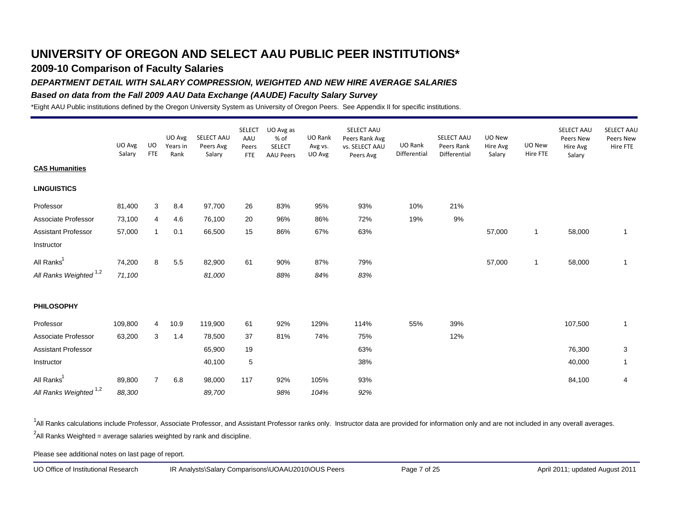## **2009-10 Comparison of Faculty Salaries**

### *DEPARTMENT DETAIL WITH SALARY COMPRESSION, WEIGHTED AND NEW HIRE AVERAGE SALARIES*

#### *Based on data from the Fall 2009 AAU Data Exchange (AAUDE) Faculty Salary Survey*

\*Eight AAU Public institutions defined by the Oregon University System as University of Oregon Peers. See Appendix II for specific institutions.

|                                   | UO Avg<br>Salary | UO<br><b>FTE</b> | UO Avg<br>Years in<br>Rank | SELECT AAU<br>Peers Avg<br>Salary | <b>SELECT</b><br>AAU<br>Peers<br><b>FTE</b> | UO Avg as<br>% of<br><b>SELECT</b><br><b>AAU Peers</b> | UO Rank<br>Avg vs.<br>UO Avg | SELECT AAU<br>Peers Rank Avg<br>vs. SELECT AAU<br>Peers Avg | UO Rank<br>Differential | SELECT AAU<br>Peers Rank<br>Differential | UO New<br>Hire Avg<br>Salary | UO New<br>Hire FTE | SELECT AAU<br>Peers New<br>Hire Avg<br>Salary | SELECT AAL<br>Peers New<br>Hire FTE |
|-----------------------------------|------------------|------------------|----------------------------|-----------------------------------|---------------------------------------------|--------------------------------------------------------|------------------------------|-------------------------------------------------------------|-------------------------|------------------------------------------|------------------------------|--------------------|-----------------------------------------------|-------------------------------------|
| <b>CAS Humanities</b>             |                  |                  |                            |                                   |                                             |                                                        |                              |                                                             |                         |                                          |                              |                    |                                               |                                     |
| <b>LINGUISTICS</b>                |                  |                  |                            |                                   |                                             |                                                        |                              |                                                             |                         |                                          |                              |                    |                                               |                                     |
| Professor                         | 81,400           | 3                | 8.4                        | 97,700                            | 26                                          | 83%                                                    | 95%                          | 93%                                                         | 10%                     | 21%                                      |                              |                    |                                               |                                     |
| Associate Professor               | 73,100           | 4                | 4.6                        | 76,100                            | 20                                          | 96%                                                    | 86%                          | 72%                                                         | 19%                     | 9%                                       |                              |                    |                                               |                                     |
| <b>Assistant Professor</b>        | 57,000           | $\mathbf{1}$     | 0.1                        | 66,500                            | 15                                          | 86%                                                    | 67%                          | 63%                                                         |                         |                                          | 57,000                       | $\mathbf{1}$       | 58,000                                        | $\mathbf{1}$                        |
| Instructor                        |                  |                  |                            |                                   |                                             |                                                        |                              |                                                             |                         |                                          |                              |                    |                                               |                                     |
| All Ranks <sup>1</sup>            | 74,200           | 8                | 5.5                        | 82,900                            | 61                                          | 90%                                                    | 87%                          | 79%                                                         |                         |                                          | 57,000                       | $\mathbf{1}$       | 58,000                                        | 1                                   |
| All Ranks Weighted <sup>1,2</sup> | 71,100           |                  |                            | 81,000                            |                                             | 88%                                                    | 84%                          | 83%                                                         |                         |                                          |                              |                    |                                               |                                     |
| <b>PHILOSOPHY</b>                 |                  |                  |                            |                                   |                                             |                                                        |                              |                                                             |                         |                                          |                              |                    |                                               |                                     |
| Professor                         | 109,800          | 4                | 10.9                       | 119,900                           | 61                                          | 92%                                                    | 129%                         | 114%                                                        | 55%                     | 39%                                      |                              |                    | 107,500                                       | 1                                   |
| Associate Professor               | 63,200           | 3                | 1.4                        | 78,500                            | 37                                          | 81%                                                    | 74%                          | 75%                                                         |                         | 12%                                      |                              |                    |                                               |                                     |
| Assistant Professor               |                  |                  |                            | 65,900                            | 19                                          |                                                        |                              | 63%                                                         |                         |                                          |                              |                    | 76,300                                        | 3                                   |
| Instructor                        |                  |                  |                            | 40,100                            | 5                                           |                                                        |                              | 38%                                                         |                         |                                          |                              |                    | 40,000                                        | 1                                   |
| All Ranks <sup>1</sup>            | 89,800           | $\overline{7}$   | $6.8\,$                    | 98,000                            | 117                                         | 92%                                                    | 105%                         | 93%                                                         |                         |                                          |                              |                    | 84,100                                        | 4                                   |
| All Ranks Weighted 1,2            | 88,300           |                  |                            | 89,700                            |                                             | 98%                                                    | 104%                         | 92%                                                         |                         |                                          |                              |                    |                                               |                                     |

<sup>1</sup>All Ranks calculations include Professor, Associate Professor, and Assistant Professor ranks only. Instructor data are provided for information only and are not included in any overall averages.  $^2$ All Ranks Weighted = average salaries weighted by rank and discipline.

Please see additional notes on last page of report.

UO Office of Institutional Research IR Analysts\Salary Comparisons\UOAAU2010\OUS Peers Page 7 of 25 April 2011; updated August 2011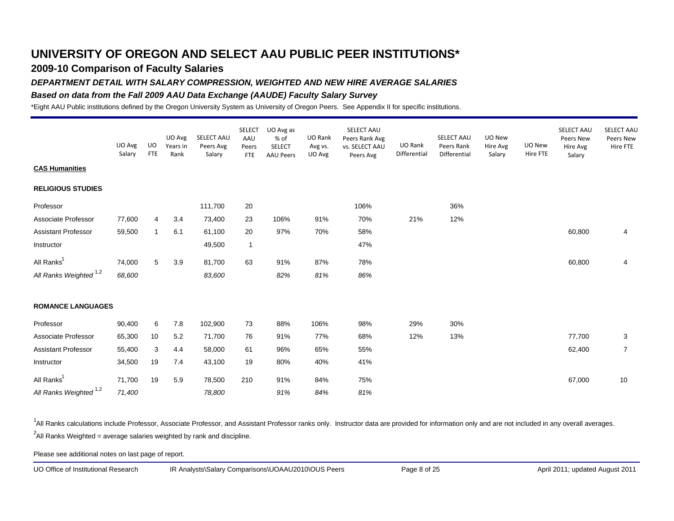## **2009-10 Comparison of Faculty Salaries**

#### *DEPARTMENT DETAIL WITH SALARY COMPRESSION, WEIGHTED AND NEW HIRE AVERAGE SALARIES*

#### *Based on data from the Fall 2009 AAU Data Exchange (AAUDE) Faculty Salary Survey*

\*Eight AAU Public institutions defined by the Oregon University System as University of Oregon Peers. See Appendix II for specific institutions.

|                                   | UO Avg<br>Salary | <b>UO</b><br><b>FTE</b> | UO Avg<br>Years in<br>Rank | SELECT AAU<br>Peers Avg<br>Salary | <b>SELECT</b><br>AAU<br>Peers<br><b>FTE</b> | UO Avg as<br>% of<br><b>SELECT</b><br><b>AAU Peers</b> | UO Rank<br>Avg vs.<br>UO Avg | SELECT AAU<br>Peers Rank Avg<br>vs. SELECT AAU<br>Peers Avg | UO Rank<br>Differential | SELECT AAU<br>Peers Rank<br>Differential | UO New<br>Hire Avg<br>Salary | UO New<br>Hire FTE | SELECT AAU<br>Peers New<br>Hire Avg<br>Salary | <b>SELECT AAU</b><br>Peers New<br>Hire FTE |
|-----------------------------------|------------------|-------------------------|----------------------------|-----------------------------------|---------------------------------------------|--------------------------------------------------------|------------------------------|-------------------------------------------------------------|-------------------------|------------------------------------------|------------------------------|--------------------|-----------------------------------------------|--------------------------------------------|
| <b>CAS Humanities</b>             |                  |                         |                            |                                   |                                             |                                                        |                              |                                                             |                         |                                          |                              |                    |                                               |                                            |
| <b>RELIGIOUS STUDIES</b>          |                  |                         |                            |                                   |                                             |                                                        |                              |                                                             |                         |                                          |                              |                    |                                               |                                            |
| Professor                         |                  |                         |                            | 111,700                           | 20                                          |                                                        |                              | 106%                                                        |                         | 36%                                      |                              |                    |                                               |                                            |
| Associate Professor               | 77,600           | 4                       | 3.4                        | 73,400                            | 23                                          | 106%                                                   | 91%                          | 70%                                                         | 21%                     | 12%                                      |                              |                    |                                               |                                            |
| <b>Assistant Professor</b>        | 59,500           | $\mathbf{1}$            | 6.1                        | 61,100                            | 20                                          | 97%                                                    | 70%                          | 58%                                                         |                         |                                          |                              |                    | 60,800                                        | 4                                          |
| Instructor                        |                  |                         |                            | 49,500                            | $\mathbf{1}$                                |                                                        |                              | 47%                                                         |                         |                                          |                              |                    |                                               |                                            |
| All Ranks <sup>1</sup>            | 74,000           | 5                       | 3.9                        | 81,700                            | 63                                          | 91%                                                    | 87%                          | 78%                                                         |                         |                                          |                              |                    | 60,800                                        | 4                                          |
| All Ranks Weighted <sup>1,2</sup> | 68,600           |                         |                            | 83,600                            |                                             | 82%                                                    | 81%                          | 86%                                                         |                         |                                          |                              |                    |                                               |                                            |
| <b>ROMANCE LANGUAGES</b>          |                  |                         |                            |                                   |                                             |                                                        |                              |                                                             |                         |                                          |                              |                    |                                               |                                            |
| Professor                         | 90,400           | 6                       | 7.8                        | 102,900                           | 73                                          | 88%                                                    | 106%                         | 98%                                                         | 29%                     | 30%                                      |                              |                    |                                               |                                            |
| Associate Professor               | 65,300           | 10                      | 5.2                        | 71,700                            | 76                                          | 91%                                                    | 77%                          | 68%                                                         | 12%                     | 13%                                      |                              |                    | 77,700                                        | 3                                          |
| <b>Assistant Professor</b>        | 55,400           | 3                       | 4.4                        | 58,000                            | 61                                          | 96%                                                    | 65%                          | 55%                                                         |                         |                                          |                              |                    | 62,400                                        | $\overline{7}$                             |
| Instructor                        | 34,500           | 19                      | 7.4                        | 43,100                            | 19                                          | 80%                                                    | 40%                          | 41%                                                         |                         |                                          |                              |                    |                                               |                                            |
| All Ranks <sup>1</sup>            | 71,700           | 19                      | 5.9                        | 78,500                            | 210                                         | 91%                                                    | 84%                          | 75%                                                         |                         |                                          |                              |                    | 67,000                                        | 10                                         |
| All Ranks Weighted <sup>1,2</sup> | 71,400           |                         |                            | 78,800                            |                                             | 91%                                                    | 84%                          | 81%                                                         |                         |                                          |                              |                    |                                               |                                            |

<sup>1</sup>All Ranks calculations include Professor, Associate Professor, and Assistant Professor ranks only. Instructor data are provided for information only and are not included in any overall averages.  $^2$ All Ranks Weighted = average salaries weighted by rank and discipline.

Please see additional notes on last page of report.

UO Office of Institutional Research IR Analysts\Salary Comparisons\UOAAU2010\OUS Peers Page 8 of 25 April 2011; updated August 2011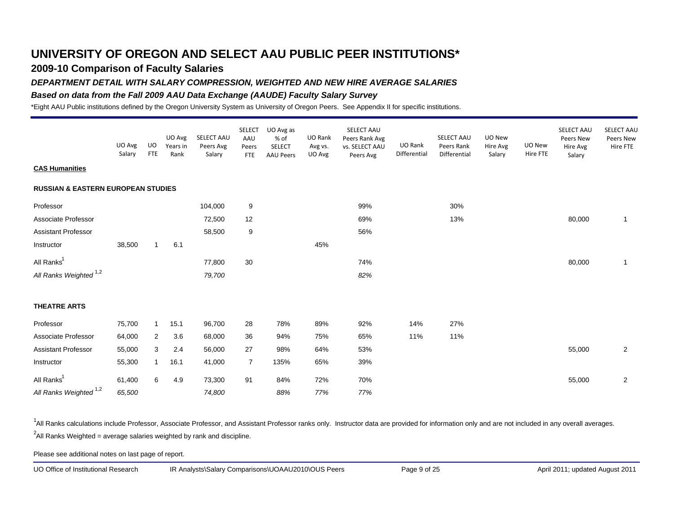## **2009-10 Comparison of Faculty Salaries**

#### *DEPARTMENT DETAIL WITH SALARY COMPRESSION, WEIGHTED AND NEW HIRE AVERAGE SALARIES*

#### *Based on data from the Fall 2009 AAU Data Exchange (AAUDE) Faculty Salary Survey*

\*Eight AAU Public institutions defined by the Oregon University System as University of Oregon Peers. See Appendix II for specific institutions.

|                                               |                  |                   |                            |                                   | <b>SELECT</b>              | UO Avg as                                 |                              | SELECT AAU                                    |                         |                                          |                              |                    | SELECT AAU                      | SELECT AAU            |
|-----------------------------------------------|------------------|-------------------|----------------------------|-----------------------------------|----------------------------|-------------------------------------------|------------------------------|-----------------------------------------------|-------------------------|------------------------------------------|------------------------------|--------------------|---------------------------------|-----------------------|
|                                               | UO Avg<br>Salary | UO.<br><b>FTE</b> | UO Avg<br>Years in<br>Rank | SELECT AAU<br>Peers Avg<br>Salary | AAU<br>Peers<br><b>FTE</b> | % of<br><b>SELECT</b><br><b>AAU Peers</b> | UO Rank<br>Avg vs.<br>UO Avg | Peers Rank Avg<br>vs. SELECT AAU<br>Peers Avg | UO Rank<br>Differential | SELECT AAU<br>Peers Rank<br>Differential | UO New<br>Hire Avg<br>Salary | UO New<br>Hire FTE | Peers New<br>Hire Avg<br>Salary | Peers New<br>Hire FTE |
| <b>CAS Humanities</b>                         |                  |                   |                            |                                   |                            |                                           |                              |                                               |                         |                                          |                              |                    |                                 |                       |
| <b>RUSSIAN &amp; EASTERN EUROPEAN STUDIES</b> |                  |                   |                            |                                   |                            |                                           |                              |                                               |                         |                                          |                              |                    |                                 |                       |
| Professor                                     |                  |                   |                            | 104,000                           | 9                          |                                           |                              | 99%                                           |                         | 30%                                      |                              |                    |                                 |                       |
| Associate Professor                           |                  |                   |                            | 72,500                            | 12                         |                                           |                              | 69%                                           |                         | 13%                                      |                              |                    | 80,000                          | $\mathbf{1}$          |
| <b>Assistant Professor</b>                    |                  |                   |                            | 58,500                            | 9                          |                                           |                              | 56%                                           |                         |                                          |                              |                    |                                 |                       |
| Instructor                                    | 38,500           | $\mathbf{1}$      | 6.1                        |                                   |                            |                                           | 45%                          |                                               |                         |                                          |                              |                    |                                 |                       |
| All Ranks <sup>1</sup>                        |                  |                   |                            | 77,800                            | 30                         |                                           |                              | 74%                                           |                         |                                          |                              |                    | 80,000                          | -1                    |
| All Ranks Weighted <sup>1,2</sup>             |                  |                   |                            | 79,700                            |                            |                                           |                              | 82%                                           |                         |                                          |                              |                    |                                 |                       |
| <b>THEATRE ARTS</b>                           |                  |                   |                            |                                   |                            |                                           |                              |                                               |                         |                                          |                              |                    |                                 |                       |
| Professor                                     | 75,700           | $\mathbf{1}$      | 15.1                       | 96,700                            | 28                         | 78%                                       | 89%                          | 92%                                           | 14%                     | 27%                                      |                              |                    |                                 |                       |
| Associate Professor                           | 64,000           | $\overline{2}$    | 3.6                        | 68,000                            | 36                         | 94%                                       | 75%                          | 65%                                           | 11%                     | 11%                                      |                              |                    |                                 |                       |
| <b>Assistant Professor</b>                    | 55,000           | 3                 | 2.4                        | 56,000                            | 27                         | 98%                                       | 64%                          | 53%                                           |                         |                                          |                              |                    | 55,000                          | $\overline{2}$        |
| Instructor                                    | 55,300           | $\mathbf{1}$      | 16.1                       | 41,000                            | $\overline{7}$             | 135%                                      | 65%                          | 39%                                           |                         |                                          |                              |                    |                                 |                       |
| All Ranks <sup>1</sup>                        | 61,400           | 6                 | 4.9                        | 73,300                            | 91                         | 84%                                       | 72%                          | 70%                                           |                         |                                          |                              |                    | 55,000                          | 2                     |
| All Ranks Weighted <sup>1,2</sup>             | 65,500           |                   |                            | 74,800                            |                            | 88%                                       | 77%                          | 77%                                           |                         |                                          |                              |                    |                                 |                       |

<sup>1</sup>All Ranks calculations include Professor, Associate Professor, and Assistant Professor ranks only. Instructor data are provided for information only and are not included in any overall averages.  $^2$ All Ranks Weighted = average salaries weighted by rank and discipline.

Please see additional notes on last page of report.

UO Office of Institutional Research IR Analysts\Salary Comparisons\UOAAU2010\OUS Peers Page 9 of 25 April 2011; updated August 2011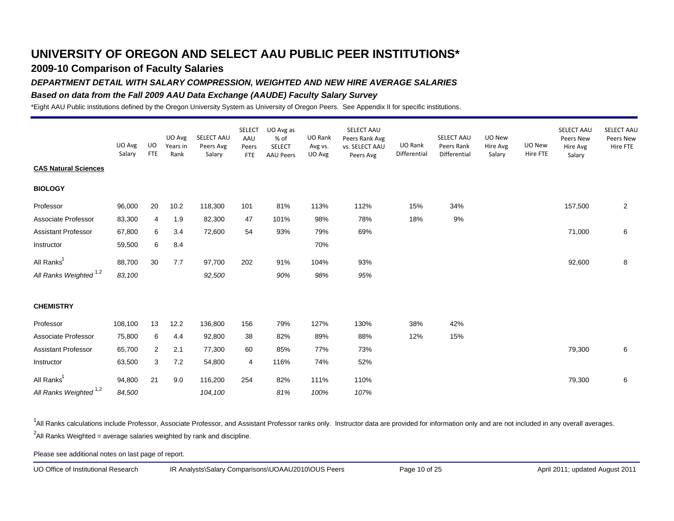## **2009-10 Comparison of Faculty Salaries**

#### *DEPARTMENT DETAIL WITH SALARY COMPRESSION, WEIGHTED AND NEW HIRE AVERAGE SALARIES*

#### *Based on data from the Fall 2009 AAU Data Exchange (AAUDE) Faculty Salary Survey*

\*Eight AAU Public institutions defined by the Oregon University System as University of Oregon Peers. See Appendix II for specific institutions.

|                                   | UO Avg<br>Salary | <b>UO</b><br><b>FTE</b> | UO Avg<br>Years in<br>Rank | SELECT AAU<br>Peers Avg<br>Salary | <b>SELECT</b><br>AAU<br>Peers<br><b>FTE</b> | UO Avg as<br>% of<br><b>SELECT</b><br><b>AAU Peers</b> | UO Rank<br>Avg vs.<br>UO Avg | SELECT AAU<br>Peers Rank Avg<br>vs. SELECT AAU<br>Peers Avg | UO Rank<br>Differential | SELECT AAU<br>Peers Rank<br>Differential | UO New<br>Hire Avg<br>Salary | UO New<br>Hire FTE | SELECT AAU<br>Peers New<br>Hire Avg<br>Salary | <b>SELECT AAU</b><br>Peers New<br>Hire FTE |
|-----------------------------------|------------------|-------------------------|----------------------------|-----------------------------------|---------------------------------------------|--------------------------------------------------------|------------------------------|-------------------------------------------------------------|-------------------------|------------------------------------------|------------------------------|--------------------|-----------------------------------------------|--------------------------------------------|
| <b>CAS Natural Sciences</b>       |                  |                         |                            |                                   |                                             |                                                        |                              |                                                             |                         |                                          |                              |                    |                                               |                                            |
| <b>BIOLOGY</b>                    |                  |                         |                            |                                   |                                             |                                                        |                              |                                                             |                         |                                          |                              |                    |                                               |                                            |
| Professor                         | 96,000           | 20                      | 10.2                       | 118,300                           | 101                                         | 81%                                                    | 113%                         | 112%                                                        | 15%                     | 34%                                      |                              |                    | 157,500                                       | $\overline{2}$                             |
| Associate Professor               | 83,300           | 4                       | 1.9                        | 82,300                            | 47                                          | 101%                                                   | 98%                          | 78%                                                         | 18%                     | 9%                                       |                              |                    |                                               |                                            |
| <b>Assistant Professor</b>        | 67,800           | 6                       | 3.4                        | 72,600                            | 54                                          | 93%                                                    | 79%                          | 69%                                                         |                         |                                          |                              |                    | 71,000                                        | 6                                          |
| Instructor                        | 59,500           | 6                       | 8.4                        |                                   |                                             |                                                        | 70%                          |                                                             |                         |                                          |                              |                    |                                               |                                            |
| All Ranks <sup>1</sup>            | 88,700           | 30                      | 7.7                        | 97,700                            | 202                                         | 91%                                                    | 104%                         | 93%                                                         |                         |                                          |                              |                    | 92,600                                        | 8                                          |
| All Ranks Weighted <sup>1,2</sup> | 83,100           |                         |                            | 92,500                            |                                             | 90%                                                    | 98%                          | 95%                                                         |                         |                                          |                              |                    |                                               |                                            |
| <b>CHEMISTRY</b>                  |                  |                         |                            |                                   |                                             |                                                        |                              |                                                             |                         |                                          |                              |                    |                                               |                                            |
| Professor                         | 108,100          | 13                      | 12.2                       | 136,800                           | 156                                         | 79%                                                    | 127%                         | 130%                                                        | 38%                     | 42%                                      |                              |                    |                                               |                                            |
| Associate Professor               | 75,800           | 6                       | 4.4                        | 92,800                            | 38                                          | 82%                                                    | 89%                          | 88%                                                         | 12%                     | 15%                                      |                              |                    |                                               |                                            |
| <b>Assistant Professor</b>        | 65,700           | 2                       | 2.1                        | 77,300                            | 60                                          | 85%                                                    | 77%                          | 73%                                                         |                         |                                          |                              |                    | 79,300                                        | 6                                          |
| Instructor                        | 63,500           | 3                       | 7.2                        | 54,800                            | 4                                           | 116%                                                   | 74%                          | 52%                                                         |                         |                                          |                              |                    |                                               |                                            |
| All Ranks <sup>1</sup>            | 94,800           | 21                      | 9.0                        | 116,200                           | 254                                         | 82%                                                    | 111%                         | 110%                                                        |                         |                                          |                              |                    | 79,300                                        | 6                                          |
| All Ranks Weighted <sup>1,2</sup> | 84,500           |                         |                            | 104,100                           |                                             | 81%                                                    | 100%                         | 107%                                                        |                         |                                          |                              |                    |                                               |                                            |

<sup>1</sup>All Ranks calculations include Professor, Associate Professor, and Assistant Professor ranks only. Instructor data are provided for information only and are not included in any overall averages.  $^2$ All Ranks Weighted = average salaries weighted by rank and discipline.

Please see additional notes on last page of report.

UO Office of Institutional Research IR Analysts\Salary Comparisons\UOAAU2010\OUS Peers Page 10 of 25 April 2011; updated August 2011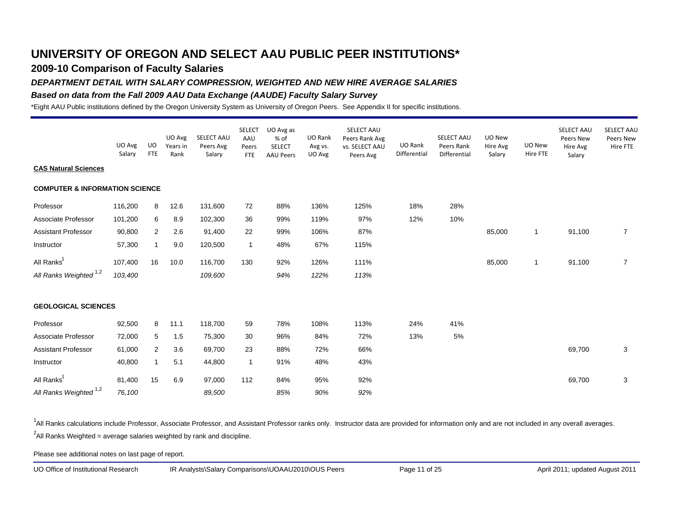## **2009-10 Comparison of Faculty Salaries**

#### *DEPARTMENT DETAIL WITH SALARY COMPRESSION, WEIGHTED AND NEW HIRE AVERAGE SALARIES*

#### *Based on data from the Fall 2009 AAU Data Exchange (AAUDE) Faculty Salary Survey*

\*Eight AAU Public institutions defined by the Oregon University System as University of Oregon Peers. See Appendix II for specific institutions.

|                                           | UO Avg<br>Salary | UO<br><b>FTE</b> | UO Avg<br>Years in<br>Rank | SELECT AAU<br>Peers Avg<br>Salary | <b>SELECT</b><br>AAU<br>Peers<br><b>FTE</b> | UO Avg as<br>% of<br><b>SELECT</b><br><b>AAU Peers</b> | UO Rank<br>Avg vs.<br>UO Avg | SELECT AAU<br>Peers Rank Avg<br>vs. SELECT AAU<br>Peers Avg | UO Rank<br>Differential | SELECT AAU<br>Peers Rank<br>Differential | UO New<br>Hire Avg<br>Salary | UO New<br>Hire FTE | SELECT AAU<br>Peers New<br>Hire Avg<br>Salary | <b>SELECT AAU</b><br>Peers New<br>Hire FTE |
|-------------------------------------------|------------------|------------------|----------------------------|-----------------------------------|---------------------------------------------|--------------------------------------------------------|------------------------------|-------------------------------------------------------------|-------------------------|------------------------------------------|------------------------------|--------------------|-----------------------------------------------|--------------------------------------------|
| <b>CAS Natural Sciences</b>               |                  |                  |                            |                                   |                                             |                                                        |                              |                                                             |                         |                                          |                              |                    |                                               |                                            |
| <b>COMPUTER &amp; INFORMATION SCIENCE</b> |                  |                  |                            |                                   |                                             |                                                        |                              |                                                             |                         |                                          |                              |                    |                                               |                                            |
| Professor                                 | 116,200          | 8                | 12.6                       | 131,600                           | 72                                          | 88%                                                    | 136%                         | 125%                                                        | 18%                     | 28%                                      |                              |                    |                                               |                                            |
| Associate Professor                       | 101,200          | 6                | 8.9                        | 102,300                           | 36                                          | 99%                                                    | 119%                         | 97%                                                         | 12%                     | 10%                                      |                              |                    |                                               |                                            |
| <b>Assistant Professor</b>                | 90,800           | $\overline{2}$   | 2.6                        | 91,400                            | 22                                          | 99%                                                    | 106%                         | 87%                                                         |                         |                                          | 85,000                       | $\mathbf{1}$       | 91,100                                        | $\overline{7}$                             |
| Instructor                                | 57,300           | $\mathbf{1}$     | 9.0                        | 120,500                           | $\mathbf{1}$                                | 48%                                                    | 67%                          | 115%                                                        |                         |                                          |                              |                    |                                               |                                            |
| All Ranks <sup>1</sup>                    | 107,400          | 16               | 10.0                       | 116,700                           | 130                                         | 92%                                                    | 126%                         | 111%                                                        |                         |                                          | 85,000                       | $\mathbf{1}$       | 91,100                                        | $\overline{7}$                             |
| All Ranks Weighted <sup>1,2</sup>         | 103,400          |                  |                            | 109,600                           |                                             | 94%                                                    | 122%                         | 113%                                                        |                         |                                          |                              |                    |                                               |                                            |
| <b>GEOLOGICAL SCIENCES</b>                |                  |                  |                            |                                   |                                             |                                                        |                              |                                                             |                         |                                          |                              |                    |                                               |                                            |
| Professor                                 | 92,500           | 8                | 11.1                       | 118,700                           | 59                                          | 78%                                                    | 108%                         | 113%                                                        | 24%                     | 41%                                      |                              |                    |                                               |                                            |
| Associate Professor                       | 72,000           | 5                | 1.5                        | 75,300                            | 30                                          | 96%                                                    | 84%                          | 72%                                                         | 13%                     | 5%                                       |                              |                    |                                               |                                            |
| <b>Assistant Professor</b>                | 61,000           | 2                | 3.6                        | 69,700                            | 23                                          | 88%                                                    | 72%                          | 66%                                                         |                         |                                          |                              |                    | 69,700                                        | $\mathbf{3}$                               |
| Instructor                                | 40,800           | $\mathbf{1}$     | 5.1                        | 44,800                            | $\mathbf{1}$                                | 91%                                                    | 48%                          | 43%                                                         |                         |                                          |                              |                    |                                               |                                            |
| All Ranks <sup>1</sup>                    | 81,400           | 15               | 6.9                        | 97,000                            | 112                                         | 84%                                                    | 95%                          | 92%                                                         |                         |                                          |                              |                    | 69,700                                        | 3                                          |
| All Ranks Weighted <sup>1,2</sup>         | 76,100           |                  |                            | 89,500                            |                                             | 85%                                                    | 90%                          | 92%                                                         |                         |                                          |                              |                    |                                               |                                            |

<sup>1</sup>All Ranks calculations include Professor, Associate Professor, and Assistant Professor ranks only. Instructor data are provided for information only and are not included in any overall averages.  $^2$ All Ranks Weighted = average salaries weighted by rank and discipline.

Please see additional notes on last page of report.

UO Office of Institutional Research IR Analysts\Salary Comparisons\UOAAU2010\OUS Peers Page 11 of 25 April 2011; updated August 2011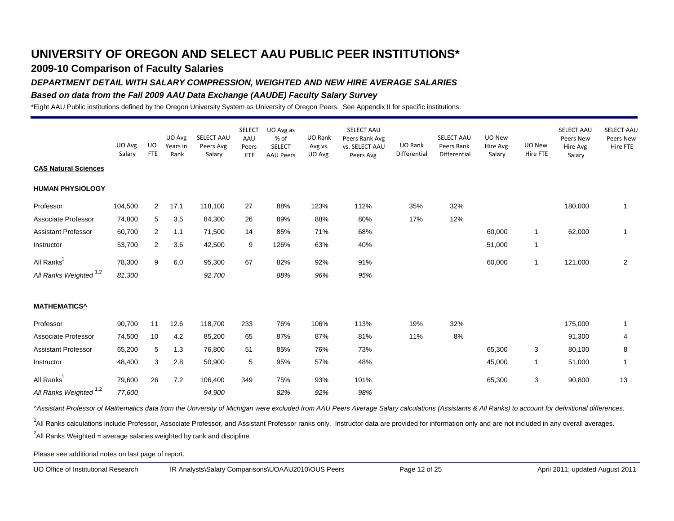## **2009-10 Comparison of Faculty Salaries**

### *DEPARTMENT DETAIL WITH SALARY COMPRESSION, WEIGHTED AND NEW HIRE AVERAGE SALARIES*

#### *Based on data from the Fall 2009 AAU Data Exchange (AAUDE) Faculty Salary Survey*

\*Eight AAU Public institutions defined by the Oregon University System as University of Oregon Peers. See Appendix II for specific institutions.

|                                   | UO Avg<br>Salary | UO<br><b>FTE</b> | UO Avg<br>Years in<br>Rank | SELECT AAU<br>Peers Avg<br>Salary | <b>SELECT</b><br>AAU<br>Peers<br><b>FTE</b> | UO Avg as<br>% of<br><b>SELECT</b><br><b>AAU Peers</b> | UO Rank<br>Avg vs.<br>UO Avg | SELECT AAU<br>Peers Rank Avg<br>vs. SELECT AAU<br>Peers Avg | UO Rank<br>Differential | SELECT AAU<br>Peers Rank<br>Differential | UO New<br>Hire Avg<br>Salary | UO New<br>Hire FTE | SELECT AAU<br>Peers New<br>Hire Avg<br>Salary | SELECT AAU<br>Peers New<br>Hire FTE |
|-----------------------------------|------------------|------------------|----------------------------|-----------------------------------|---------------------------------------------|--------------------------------------------------------|------------------------------|-------------------------------------------------------------|-------------------------|------------------------------------------|------------------------------|--------------------|-----------------------------------------------|-------------------------------------|
| <b>CAS Natural Sciences</b>       |                  |                  |                            |                                   |                                             |                                                        |                              |                                                             |                         |                                          |                              |                    |                                               |                                     |
| <b>HUMAN PHYSIOLOGY</b>           |                  |                  |                            |                                   |                                             |                                                        |                              |                                                             |                         |                                          |                              |                    |                                               |                                     |
| Professor                         | 104,500          | $\overline{2}$   | 17.1                       | 118,100                           | 27                                          | 88%                                                    | 123%                         | 112%                                                        | 35%                     | 32%                                      |                              |                    | 180,000                                       | 1                                   |
| Associate Professor               | 74,800           | 5                | 3.5                        | 84,300                            | 26                                          | 89%                                                    | 88%                          | 80%                                                         | 17%                     | 12%                                      |                              |                    |                                               |                                     |
| <b>Assistant Professor</b>        | 60,700           | 2                | 1.1                        | 71,500                            | 14                                          | 85%                                                    | 71%                          | 68%                                                         |                         |                                          | 60,000                       | $\mathbf{1}$       | 62,000                                        | 1                                   |
| Instructor                        | 53,700           | $\overline{2}$   | 3.6                        | 42,500                            | 9                                           | 126%                                                   | 63%                          | 40%                                                         |                         |                                          | 51,000                       | $\mathbf{1}$       |                                               |                                     |
| All Ranks <sup>1</sup>            | 78,300           | 9                | 6.0                        | 95,300                            | 67                                          | 82%                                                    | 92%                          | 91%                                                         |                         |                                          | 60,000                       | $\mathbf{1}$       | 121,000                                       | $\overline{2}$                      |
| All Ranks Weighted <sup>1,2</sup> | 81,300           |                  |                            | 92,700                            |                                             | 88%                                                    | 96%                          | 95%                                                         |                         |                                          |                              |                    |                                               |                                     |
| <b>MATHEMATICS^</b>               |                  |                  |                            |                                   |                                             |                                                        |                              |                                                             |                         |                                          |                              |                    |                                               |                                     |
| Professor                         | 90,700           | 11               | 12.6                       | 118,700                           | 233                                         | 76%                                                    | 106%                         | 113%                                                        | 19%                     | 32%                                      |                              |                    | 175,000                                       | 1                                   |
| Associate Professor               | 74,500           | 10               | 4.2                        | 85,200                            | 65                                          | 87%                                                    | 87%                          | 81%                                                         | 11%                     | 8%                                       |                              |                    | 91,300                                        | 4                                   |
| <b>Assistant Professor</b>        | 65,200           | 5                | 1.3                        | 76,800                            | 51                                          | 85%                                                    | 76%                          | 73%                                                         |                         |                                          | 65,300                       | 3                  | 80,100                                        | 8                                   |
| Instructor                        | 48,400           | 3                | 2.8                        | 50,900                            | 5                                           | 95%                                                    | 57%                          | 48%                                                         |                         |                                          | 45,000                       | 1                  | 51,000                                        | 1                                   |
| All Ranks <sup>1</sup>            | 79,600           | 26               | 7.2                        | 106,400                           | 349                                         | 75%                                                    | 93%                          | 101%                                                        |                         |                                          | 65,300                       | 3                  | 90,800                                        | 13                                  |
| All Ranks Weighted <sup>1,2</sup> | 77,600           |                  |                            | 94,900                            |                                             | 82%                                                    | 92%                          | 98%                                                         |                         |                                          |                              |                    |                                               |                                     |

*^Assistant Professor of Mathematics data from the University of Michigan were excluded from AAU Peers Average Salary calculations (Assistants & All Ranks) to account for definitional differences.*

<sup>1</sup>All Ranks calculations include Professor, Associate Professor, and Assistant Professor ranks only. Instructor data are provided for information only and are not included in any overall averages.

 $^2$ All Ranks Weighted = average salaries weighted by rank and discipline.

Please see additional notes on last page of report.

UO Office of Institutional Research IR Analysts\Salary Comparisons\UOAAU2010\OUS Peers Page 12 of 25 April 2011; updated August 2011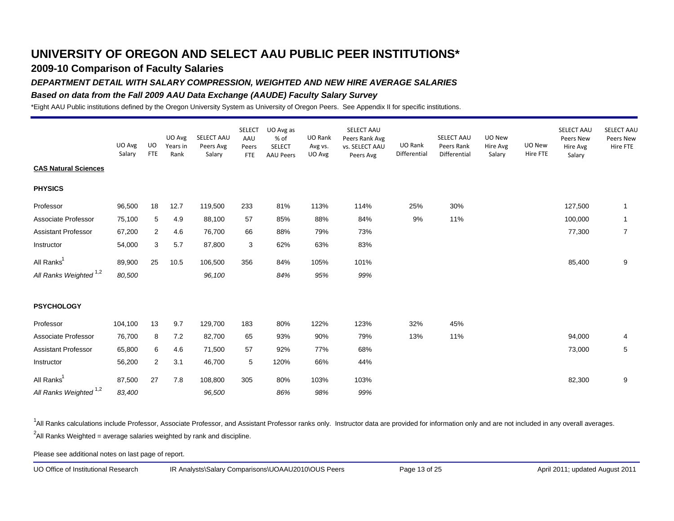## **2009-10 Comparison of Faculty Salaries**

#### *DEPARTMENT DETAIL WITH SALARY COMPRESSION, WEIGHTED AND NEW HIRE AVERAGE SALARIES*

#### *Based on data from the Fall 2009 AAU Data Exchange (AAUDE) Faculty Salary Survey*

\*Eight AAU Public institutions defined by the Oregon University System as University of Oregon Peers. See Appendix II for specific institutions.

|                                   | UO Avg<br>Salary | UO<br><b>FTE</b> | UO Avg<br>Years in<br>Rank | SELECT AAU<br>Peers Avg<br>Salary | <b>SELECT</b><br>AAU<br>Peers<br><b>FTE</b> | UO Avg as<br>% of<br><b>SELECT</b><br><b>AAU Peers</b> | UO Rank<br>Avg vs.<br>UO Avg | SELECT AAU<br>Peers Rank Avg<br>vs. SELECT AAU<br>Peers Avg | UO Rank<br>Differential | SELECT AAU<br>Peers Rank<br>Differential | UO New<br>Hire Avg<br>Salary | UO New<br>Hire FTE | SELECT AAU<br>Peers New<br>Hire Avg<br>Salary | SELECT AAU<br>Peers New<br>Hire FTE |
|-----------------------------------|------------------|------------------|----------------------------|-----------------------------------|---------------------------------------------|--------------------------------------------------------|------------------------------|-------------------------------------------------------------|-------------------------|------------------------------------------|------------------------------|--------------------|-----------------------------------------------|-------------------------------------|
| <b>CAS Natural Sciences</b>       |                  |                  |                            |                                   |                                             |                                                        |                              |                                                             |                         |                                          |                              |                    |                                               |                                     |
| <b>PHYSICS</b>                    |                  |                  |                            |                                   |                                             |                                                        |                              |                                                             |                         |                                          |                              |                    |                                               |                                     |
| Professor                         | 96,500           | 18               | 12.7                       | 119,500                           | 233                                         | 81%                                                    | 113%                         | 114%                                                        | 25%                     | 30%                                      |                              |                    | 127,500                                       | $\mathbf{1}$                        |
| Associate Professor               | 75,100           | 5                | 4.9                        | 88,100                            | 57                                          | 85%                                                    | 88%                          | 84%                                                         | 9%                      | 11%                                      |                              |                    | 100,000                                       | $\mathbf{1}$                        |
| <b>Assistant Professor</b>        | 67,200           | $\overline{2}$   | 4.6                        | 76,700                            | 66                                          | 88%                                                    | 79%                          | 73%                                                         |                         |                                          |                              |                    | 77,300                                        | $\overline{7}$                      |
| Instructor                        | 54,000           | 3                | 5.7                        | 87,800                            | 3                                           | 62%                                                    | 63%                          | 83%                                                         |                         |                                          |                              |                    |                                               |                                     |
| All Ranks <sup>1</sup>            | 89,900           | 25               | 10.5                       | 106,500                           | 356                                         | 84%                                                    | 105%                         | 101%                                                        |                         |                                          |                              |                    | 85,400                                        | 9                                   |
| All Ranks Weighted <sup>1,2</sup> | 80,500           |                  |                            | 96,100                            |                                             | 84%                                                    | 95%                          | 99%                                                         |                         |                                          |                              |                    |                                               |                                     |
| <b>PSYCHOLOGY</b>                 |                  |                  |                            |                                   |                                             |                                                        |                              |                                                             |                         |                                          |                              |                    |                                               |                                     |
| Professor                         | 104,100          | 13               | 9.7                        | 129,700                           | 183                                         | 80%                                                    | 122%                         | 123%                                                        | 32%                     | 45%                                      |                              |                    |                                               |                                     |
| Associate Professor               | 76,700           | 8                | 7.2                        | 82,700                            | 65                                          | 93%                                                    | 90%                          | 79%                                                         | 13%                     | 11%                                      |                              |                    | 94,000                                        | 4                                   |
| <b>Assistant Professor</b>        | 65,800           | 6                | 4.6                        | 71,500                            | 57                                          | 92%                                                    | 77%                          | 68%                                                         |                         |                                          |                              |                    | 73,000                                        | 5                                   |
| Instructor                        | 56,200           | $\overline{2}$   | 3.1                        | 46,700                            | 5                                           | 120%                                                   | 66%                          | 44%                                                         |                         |                                          |                              |                    |                                               |                                     |
| All Ranks <sup>1</sup>            | 87,500           | 27               | 7.8                        | 108,800                           | 305                                         | 80%                                                    | 103%                         | 103%                                                        |                         |                                          |                              |                    | 82,300                                        | 9                                   |
| All Ranks Weighted 1,2            | 83,400           |                  |                            | 96,500                            |                                             | 86%                                                    | 98%                          | 99%                                                         |                         |                                          |                              |                    |                                               |                                     |

<sup>1</sup>All Ranks calculations include Professor, Associate Professor, and Assistant Professor ranks only. Instructor data are provided for information only and are not included in any overall averages.  $^2$ All Ranks Weighted = average salaries weighted by rank and discipline.

Please see additional notes on last page of report.

UO Office of Institutional Research IR Analysts\Salary Comparisons\UOAAU2010\OUS Peers Page 13 of 25 April 2011; updated August 2011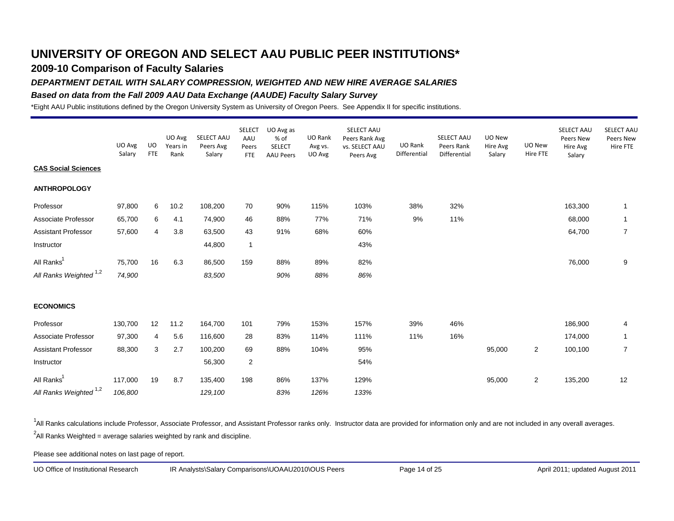## **2009-10 Comparison of Faculty Salaries**

### *DEPARTMENT DETAIL WITH SALARY COMPRESSION, WEIGHTED AND NEW HIRE AVERAGE SALARIES*

#### *Based on data from the Fall 2009 AAU Data Exchange (AAUDE) Faculty Salary Survey*

\*Eight AAU Public institutions defined by the Oregon University System as University of Oregon Peers. See Appendix II for specific institutions.

|                                   | UO Avg<br>Salary | UO<br><b>FTE</b> | UO Avg<br>Years in<br>Rank | SELECT AAU<br>Peers Avg<br>Salary | <b>SELECT</b><br>AAU<br>Peers<br><b>FTE</b> | UO Avg as<br>% of<br><b>SELECT</b><br><b>AAU Peers</b> | UO Rank<br>Avg vs.<br>UO Avg | SELECT AAU<br>Peers Rank Avg<br>vs. SELECT AAU<br>Peers Avg | UO Rank<br>Differential | SELECT AAU<br>Peers Rank<br>Differential | UO New<br>Hire Avg<br>Salary | UO New<br>Hire FTE | SELECT AAU<br>Peers New<br>Hire Avg<br>Salary | SELECT AAL<br>Peers New<br>Hire FTE |
|-----------------------------------|------------------|------------------|----------------------------|-----------------------------------|---------------------------------------------|--------------------------------------------------------|------------------------------|-------------------------------------------------------------|-------------------------|------------------------------------------|------------------------------|--------------------|-----------------------------------------------|-------------------------------------|
| <b>CAS Social Sciences</b>        |                  |                  |                            |                                   |                                             |                                                        |                              |                                                             |                         |                                          |                              |                    |                                               |                                     |
| <b>ANTHROPOLOGY</b>               |                  |                  |                            |                                   |                                             |                                                        |                              |                                                             |                         |                                          |                              |                    |                                               |                                     |
| Professor                         | 97,800           | 6                | 10.2                       | 108,200                           | 70                                          | 90%                                                    | 115%                         | 103%                                                        | 38%                     | 32%                                      |                              |                    | 163,300                                       | -1                                  |
| Associate Professor               | 65,700           | 6                | 4.1                        | 74,900                            | 46                                          | 88%                                                    | 77%                          | 71%                                                         | 9%                      | 11%                                      |                              |                    | 68,000                                        | $\mathbf 1$                         |
| <b>Assistant Professor</b>        | 57,600           | 4                | 3.8                        | 63,500                            | 43                                          | 91%                                                    | 68%                          | 60%                                                         |                         |                                          |                              |                    | 64,700                                        | $\overline{7}$                      |
| Instructor                        |                  |                  |                            | 44,800                            | $\mathbf{1}$                                |                                                        |                              | 43%                                                         |                         |                                          |                              |                    |                                               |                                     |
| All Ranks <sup>1</sup>            | 75,700           | 16               | 6.3                        | 86,500                            | 159                                         | 88%                                                    | 89%                          | 82%                                                         |                         |                                          |                              |                    | 76,000                                        | 9                                   |
| All Ranks Weighted <sup>1,2</sup> | 74,900           |                  |                            | 83,500                            |                                             | 90%                                                    | 88%                          | 86%                                                         |                         |                                          |                              |                    |                                               |                                     |
| <b>ECONOMICS</b>                  |                  |                  |                            |                                   |                                             |                                                        |                              |                                                             |                         |                                          |                              |                    |                                               |                                     |
| Professor                         | 130,700          | 12               | 11.2                       | 164,700                           | 101                                         | 79%                                                    | 153%                         | 157%                                                        | 39%                     | 46%                                      |                              |                    | 186,900                                       | 4                                   |
| Associate Professor               | 97,300           | 4                | 5.6                        | 116,600                           | 28                                          | 83%                                                    | 114%                         | 111%                                                        | 11%                     | 16%                                      |                              |                    | 174,000                                       | $\mathbf{1}$                        |
| <b>Assistant Professor</b>        | 88,300           | 3                | 2.7                        | 100,200                           | 69                                          | 88%                                                    | 104%                         | 95%                                                         |                         |                                          | 95,000                       | $\overline{2}$     | 100,100                                       | $\overline{7}$                      |
| Instructor                        |                  |                  |                            | 56,300                            | $\overline{2}$                              |                                                        |                              | 54%                                                         |                         |                                          |                              |                    |                                               |                                     |
| All Ranks <sup>1</sup>            | 117,000          | 19               | 8.7                        | 135,400                           | 198                                         | 86%                                                    | 137%                         | 129%                                                        |                         |                                          | 95,000                       | $\overline{2}$     | 135,200                                       | 12                                  |
| All Ranks Weighted <sup>1,2</sup> | 106,800          |                  |                            | 129,100                           |                                             | 83%                                                    | 126%                         | 133%                                                        |                         |                                          |                              |                    |                                               |                                     |

<sup>1</sup>All Ranks calculations include Professor, Associate Professor, and Assistant Professor ranks only. Instructor data are provided for information only and are not included in any overall averages.  $^2$ All Ranks Weighted = average salaries weighted by rank and discipline.

Please see additional notes on last page of report.

UO Office of Institutional Research IR Analysts\Salary Comparisons\UOAAU2010\OUS Peers Page 14 of 25 April 2011; updated August 2011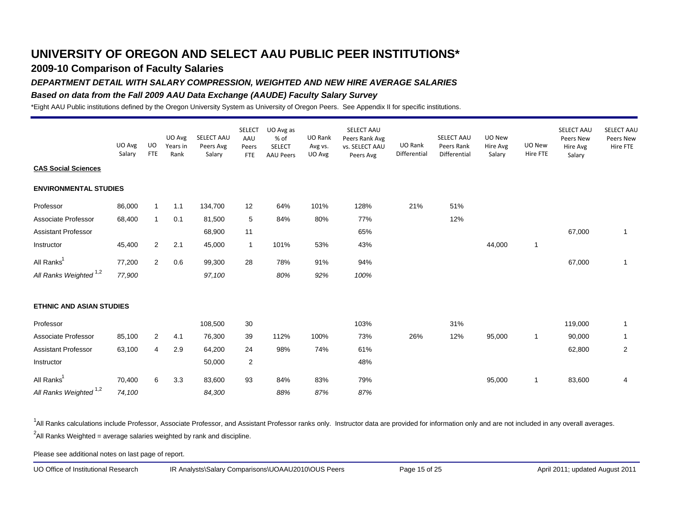## **2009-10 Comparison of Faculty Salaries**

### *DEPARTMENT DETAIL WITH SALARY COMPRESSION, WEIGHTED AND NEW HIRE AVERAGE SALARIES*

#### *Based on data from the Fall 2009 AAU Data Exchange (AAUDE) Faculty Salary Survey*

\*Eight AAU Public institutions defined by the Oregon University System as University of Oregon Peers. See Appendix II for specific institutions.

|                                   | UO Avg<br>Salary | UO<br><b>FTE</b> | UO Avg<br>Years in<br>Rank | SELECT AAU<br>Peers Avg<br>Salary | <b>SELECT</b><br>AAU<br>Peers<br><b>FTE</b> | UO Avg as<br>% of<br><b>SELECT</b><br><b>AAU Peers</b> | UO Rank<br>Avg vs.<br>UO Avg | SELECT AAU<br>Peers Rank Avg<br>vs. SELECT AAU<br>Peers Avg | UO Rank<br>Differential | <b>SELECT AAU</b><br>Peers Rank<br>Differential | UO New<br>Hire Avg<br>Salary | UO New<br>Hire FTE | SELECT AAU<br>Peers New<br>Hire Avg<br>Salary | SELECT AAU<br>Peers New<br>Hire FTE |
|-----------------------------------|------------------|------------------|----------------------------|-----------------------------------|---------------------------------------------|--------------------------------------------------------|------------------------------|-------------------------------------------------------------|-------------------------|-------------------------------------------------|------------------------------|--------------------|-----------------------------------------------|-------------------------------------|
| <b>CAS Social Sciences</b>        |                  |                  |                            |                                   |                                             |                                                        |                              |                                                             |                         |                                                 |                              |                    |                                               |                                     |
| <b>ENVIRONMENTAL STUDIES</b>      |                  |                  |                            |                                   |                                             |                                                        |                              |                                                             |                         |                                                 |                              |                    |                                               |                                     |
| Professor                         | 86,000           | $\mathbf{1}$     | 1.1                        | 134,700                           | 12                                          | 64%                                                    | 101%                         | 128%                                                        | 21%                     | 51%                                             |                              |                    |                                               |                                     |
| Associate Professor               | 68,400           | $\mathbf{1}$     | 0.1                        | 81,500                            | 5                                           | 84%                                                    | 80%                          | 77%                                                         |                         | 12%                                             |                              |                    |                                               |                                     |
| <b>Assistant Professor</b>        |                  |                  |                            | 68,900                            | 11                                          |                                                        |                              | 65%                                                         |                         |                                                 |                              |                    | 67,000                                        | 1                                   |
| Instructor                        | 45,400           | $\overline{2}$   | 2.1                        | 45,000                            | $\mathbf{1}$                                | 101%                                                   | 53%                          | 43%                                                         |                         |                                                 | 44,000                       | 1                  |                                               |                                     |
| All Ranks <sup>1</sup>            | 77,200           | $\overline{2}$   | 0.6                        | 99,300                            | 28                                          | 78%                                                    | 91%                          | 94%                                                         |                         |                                                 |                              |                    | 67,000                                        | 1                                   |
| All Ranks Weighted <sup>1,2</sup> | 77,900           |                  |                            | 97,100                            |                                             | 80%                                                    | 92%                          | 100%                                                        |                         |                                                 |                              |                    |                                               |                                     |
| <b>ETHNIC AND ASIAN STUDIES</b>   |                  |                  |                            |                                   |                                             |                                                        |                              |                                                             |                         |                                                 |                              |                    |                                               |                                     |
| Professor                         |                  |                  |                            | 108,500                           | 30                                          |                                                        |                              | 103%                                                        |                         | 31%                                             |                              |                    | 119,000                                       | 1                                   |
| Associate Professor               | 85,100           | $\overline{2}$   | 4.1                        | 76,300                            | 39                                          | 112%                                                   | 100%                         | 73%                                                         | 26%                     | 12%                                             | 95,000                       | 1                  | 90,000                                        | 1                                   |
| <b>Assistant Professor</b>        | 63,100           | 4                | 2.9                        | 64,200                            | 24                                          | 98%                                                    | 74%                          | 61%                                                         |                         |                                                 |                              |                    | 62,800                                        | $\overline{2}$                      |
| Instructor                        |                  |                  |                            | 50,000                            | $\overline{2}$                              |                                                        |                              | 48%                                                         |                         |                                                 |                              |                    |                                               |                                     |
| All Ranks <sup>1</sup>            | 70,400           | 6                | 3.3                        | 83,600                            | 93                                          | 84%                                                    | 83%                          | 79%                                                         |                         |                                                 | 95,000                       | $\mathbf{1}$       | 83,600                                        | 4                                   |
| All Ranks Weighted 1,2            | 74,100           |                  |                            | 84,300                            |                                             | 88%                                                    | 87%                          | 87%                                                         |                         |                                                 |                              |                    |                                               |                                     |

<sup>1</sup>All Ranks calculations include Professor, Associate Professor, and Assistant Professor ranks only. Instructor data are provided for information only and are not included in any overall averages.  $^2$ All Ranks Weighted = average salaries weighted by rank and discipline.

Please see additional notes on last page of report.

UO Office of Institutional Research IR Analysts\Salary Comparisons\UOAAU2010\OUS Peers Page 15 of 25 April 2011; updated August 2011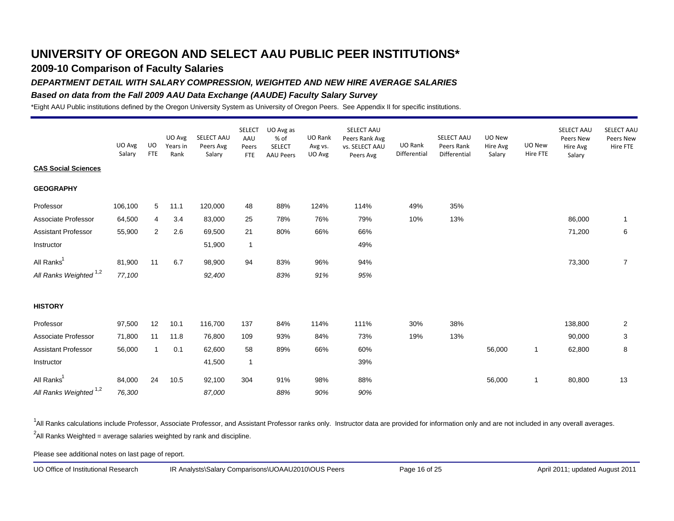## **2009-10 Comparison of Faculty Salaries**

#### *DEPARTMENT DETAIL WITH SALARY COMPRESSION, WEIGHTED AND NEW HIRE AVERAGE SALARIES*

#### *Based on data from the Fall 2009 AAU Data Exchange (AAUDE) Faculty Salary Survey*

\*Eight AAU Public institutions defined by the Oregon University System as University of Oregon Peers. See Appendix II for specific institutions.

|                                   | UO Avg<br>Salary | UO<br><b>FTE</b> | UO Avg<br>Years in<br>Rank | SELECT AAU<br>Peers Avg<br>Salary | <b>SELECT</b><br>AAU<br>Peers<br><b>FTE</b> | UO Avg as<br>% of<br><b>SELECT</b><br><b>AAU Peers</b> | UO Rank<br>Avg vs.<br>UO Avg | SELECT AAU<br>Peers Rank Avg<br>vs. SELECT AAU<br>Peers Avg | UO Rank<br>Differential | SELECT AAU<br>Peers Rank<br>Differential | UO New<br>Hire Avg<br>Salary | UO New<br>Hire FTE | SELECT AAU<br>Peers New<br>Hire Avg<br>Salary | SELECT AAL<br>Peers New<br>Hire FTE |
|-----------------------------------|------------------|------------------|----------------------------|-----------------------------------|---------------------------------------------|--------------------------------------------------------|------------------------------|-------------------------------------------------------------|-------------------------|------------------------------------------|------------------------------|--------------------|-----------------------------------------------|-------------------------------------|
| <b>CAS Social Sciences</b>        |                  |                  |                            |                                   |                                             |                                                        |                              |                                                             |                         |                                          |                              |                    |                                               |                                     |
| <b>GEOGRAPHY</b>                  |                  |                  |                            |                                   |                                             |                                                        |                              |                                                             |                         |                                          |                              |                    |                                               |                                     |
| Professor                         | 106,100          | 5                | 11.1                       | 120,000                           | 48                                          | 88%                                                    | 124%                         | 114%                                                        | 49%                     | 35%                                      |                              |                    |                                               |                                     |
| Associate Professor               | 64,500           | 4                | 3.4                        | 83,000                            | 25                                          | 78%                                                    | 76%                          | 79%                                                         | 10%                     | 13%                                      |                              |                    | 86,000                                        | -1                                  |
| <b>Assistant Professor</b>        | 55,900           | 2                | 2.6                        | 69,500                            | 21                                          | 80%                                                    | 66%                          | 66%                                                         |                         |                                          |                              |                    | 71,200                                        | 6                                   |
| Instructor                        |                  |                  |                            | 51,900                            | $\mathbf{1}$                                |                                                        |                              | 49%                                                         |                         |                                          |                              |                    |                                               |                                     |
| All Ranks <sup>1</sup>            | 81,900           | 11               | 6.7                        | 98,900                            | 94                                          | 83%                                                    | 96%                          | 94%                                                         |                         |                                          |                              |                    | 73,300                                        | $\overline{7}$                      |
| All Ranks Weighted <sup>1,2</sup> | 77,100           |                  |                            | 92,400                            |                                             | 83%                                                    | 91%                          | 95%                                                         |                         |                                          |                              |                    |                                               |                                     |
| <b>HISTORY</b>                    |                  |                  |                            |                                   |                                             |                                                        |                              |                                                             |                         |                                          |                              |                    |                                               |                                     |
| Professor                         | 97,500           | 12               | 10.1                       | 116,700                           | 137                                         | 84%                                                    | 114%                         | 111%                                                        | 30%                     | 38%                                      |                              |                    | 138,800                                       | $\overline{2}$                      |
| Associate Professor               | 71,800           | 11               | 11.8                       | 76,800                            | 109                                         | 93%                                                    | 84%                          | 73%                                                         | 19%                     | 13%                                      |                              |                    | 90,000                                        | 3                                   |
| <b>Assistant Professor</b>        | 56,000           | $\mathbf{1}$     | 0.1                        | 62,600                            | 58                                          | 89%                                                    | 66%                          | 60%                                                         |                         |                                          | 56,000                       | $\mathbf{1}$       | 62,800                                        | 8                                   |
| Instructor                        |                  |                  |                            | 41,500                            | $\mathbf{1}$                                |                                                        |                              | 39%                                                         |                         |                                          |                              |                    |                                               |                                     |
| All Ranks <sup>1</sup>            | 84,000           | 24               | 10.5                       | 92,100                            | 304                                         | 91%                                                    | 98%                          | 88%                                                         |                         |                                          | 56,000                       | 1                  | 80,800                                        | 13                                  |
| All Ranks Weighted <sup>1,2</sup> | 76,300           |                  |                            | 87,000                            |                                             | 88%                                                    | 90%                          | 90%                                                         |                         |                                          |                              |                    |                                               |                                     |

<sup>1</sup>All Ranks calculations include Professor, Associate Professor, and Assistant Professor ranks only. Instructor data are provided for information only and are not included in any overall averages.  $^2$ All Ranks Weighted = average salaries weighted by rank and discipline.

Please see additional notes on last page of report.

UO Office of Institutional Research IR Analysts\Salary Comparisons\UOAAU2010\OUS Peers Page 16 of 25 April 2011; updated August 2011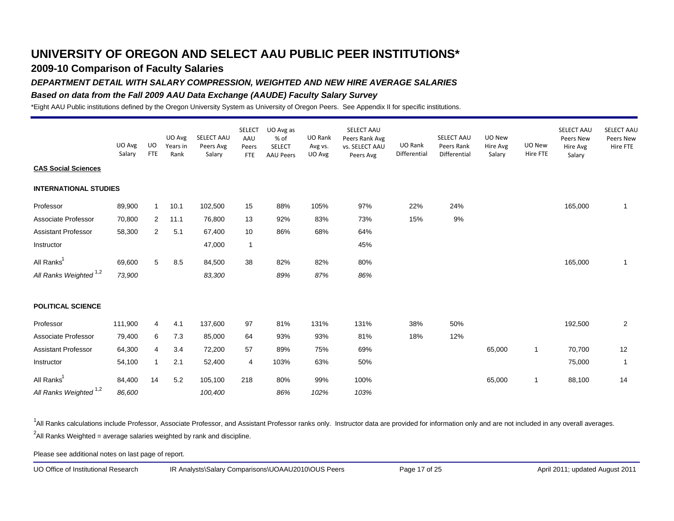## **2009-10 Comparison of Faculty Salaries**

#### *DEPARTMENT DETAIL WITH SALARY COMPRESSION, WEIGHTED AND NEW HIRE AVERAGE SALARIES*

#### *Based on data from the Fall 2009 AAU Data Exchange (AAUDE) Faculty Salary Survey*

\*Eight AAU Public institutions defined by the Oregon University System as University of Oregon Peers. See Appendix II for specific institutions.

|                                   | UO Avg<br>Salary | UO<br><b>FTE</b> | UO Avg<br>Years in<br>Rank | SELECT AAU<br>Peers Avg<br>Salary | <b>SELECT</b><br>AAU<br>Peers<br><b>FTE</b> | UO Avg as<br>% of<br><b>SELECT</b><br><b>AAU Peers</b> | UO Rank<br>Avg vs.<br>UO Avg | SELECT AAU<br>Peers Rank Avg<br>vs. SELECT AAU<br>Peers Avg | UO Rank<br>Differential | SELECT AAU<br>Peers Rank<br>Differential | UO New<br>Hire Avg<br>Salary | UO New<br>Hire FTE | SELECT AAU<br>Peers New<br>Hire Avg<br>Salary | SELECT AAL<br>Peers New<br>Hire FTE |
|-----------------------------------|------------------|------------------|----------------------------|-----------------------------------|---------------------------------------------|--------------------------------------------------------|------------------------------|-------------------------------------------------------------|-------------------------|------------------------------------------|------------------------------|--------------------|-----------------------------------------------|-------------------------------------|
| <b>CAS Social Sciences</b>        |                  |                  |                            |                                   |                                             |                                                        |                              |                                                             |                         |                                          |                              |                    |                                               |                                     |
| <b>INTERNATIONAL STUDIES</b>      |                  |                  |                            |                                   |                                             |                                                        |                              |                                                             |                         |                                          |                              |                    |                                               |                                     |
| Professor                         | 89,900           | $\mathbf{1}$     | 10.1                       | 102,500                           | 15                                          | 88%                                                    | 105%                         | 97%                                                         | 22%                     | 24%                                      |                              |                    | 165,000                                       | 1                                   |
| Associate Professor               | 70,800           | $\overline{2}$   | 11.1                       | 76,800                            | 13                                          | 92%                                                    | 83%                          | 73%                                                         | 15%                     | 9%                                       |                              |                    |                                               |                                     |
| <b>Assistant Professor</b>        | 58,300           | $\overline{2}$   | 5.1                        | 67,400                            | 10                                          | 86%                                                    | 68%                          | 64%                                                         |                         |                                          |                              |                    |                                               |                                     |
| Instructor                        |                  |                  |                            | 47,000                            | $\mathbf{1}$                                |                                                        |                              | 45%                                                         |                         |                                          |                              |                    |                                               |                                     |
| All Ranks <sup>1</sup>            | 69,600           | 5                | 8.5                        | 84,500                            | 38                                          | 82%                                                    | 82%                          | 80%                                                         |                         |                                          |                              |                    | 165,000                                       | 1                                   |
| All Ranks Weighted <sup>1,2</sup> | 73,900           |                  |                            | 83,300                            |                                             | 89%                                                    | 87%                          | 86%                                                         |                         |                                          |                              |                    |                                               |                                     |
| <b>POLITICAL SCIENCE</b>          |                  |                  |                            |                                   |                                             |                                                        |                              |                                                             |                         |                                          |                              |                    |                                               |                                     |
| Professor                         | 111,900          | 4                | 4.1                        | 137,600                           | 97                                          | 81%                                                    | 131%                         | 131%                                                        | 38%                     | 50%                                      |                              |                    | 192,500                                       | $\overline{a}$                      |
| Associate Professor               | 79,400           | 6                | 7.3                        | 85,000                            | 64                                          | 93%                                                    | 93%                          | 81%                                                         | 18%                     | 12%                                      |                              |                    |                                               |                                     |
| <b>Assistant Professor</b>        | 64,300           | 4                | 3.4                        | 72,200                            | 57                                          | 89%                                                    | 75%                          | 69%                                                         |                         |                                          | 65,000                       | 1                  | 70,700                                        | 12                                  |
| Instructor                        | 54,100           | $\mathbf{1}$     | 2.1                        | 52,400                            | 4                                           | 103%                                                   | 63%                          | 50%                                                         |                         |                                          |                              |                    | 75,000                                        | $\mathbf{1}$                        |
| All Ranks <sup>1</sup>            | 84,400           | 14               | 5.2                        | 105,100                           | 218                                         | 80%                                                    | 99%                          | 100%                                                        |                         |                                          | 65,000                       | 1                  | 88,100                                        | 14                                  |
| All Ranks Weighted <sup>1,2</sup> | 86,600           |                  |                            | 100,400                           |                                             | 86%                                                    | 102%                         | 103%                                                        |                         |                                          |                              |                    |                                               |                                     |

<sup>1</sup>All Ranks calculations include Professor, Associate Professor, and Assistant Professor ranks only. Instructor data are provided for information only and are not included in any overall averages.  $^2$ All Ranks Weighted = average salaries weighted by rank and discipline.

Please see additional notes on last page of report.

UO Office of Institutional Research IR Analysts\Salary Comparisons\UOAAU2010\OUS Peers Page 17 of 25 April 2011; updated August 2011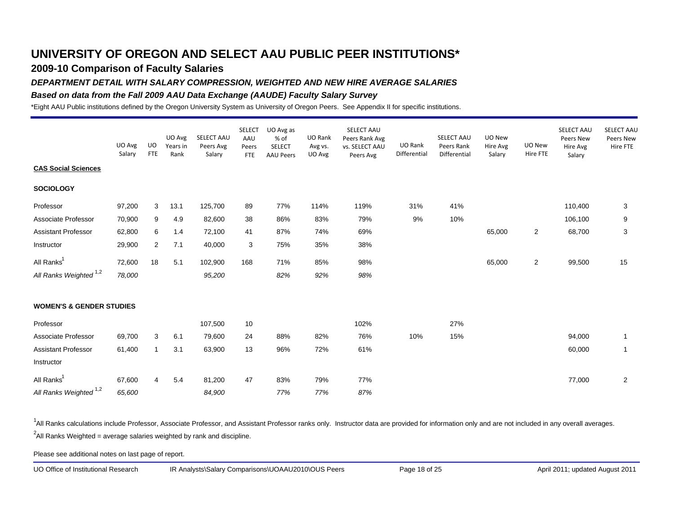### **2009-10 Comparison of Faculty Salaries**

#### *DEPARTMENT DETAIL WITH SALARY COMPRESSION, WEIGHTED AND NEW HIRE AVERAGE SALARIES*

#### *Based on data from the Fall 2009 AAU Data Exchange (AAUDE) Faculty Salary Survey*

\*Eight AAU Public institutions defined by the Oregon University System as University of Oregon Peers. See Appendix II for specific institutions.

|                                     | UO Avg<br>Salary | UO.<br><b>FTE</b> | UO Avg<br>Years in<br>Rank | SELECT AAU<br>Peers Avg<br>Salary | <b>SELECT</b><br>AAU<br>Peers<br><b>FTE</b> | UO Avg as<br>% of<br><b>SELECT</b><br><b>AAU Peers</b> | UO Rank<br>Avg vs.<br>UO Avg | SELECT AAU<br>Peers Rank Avg<br>vs. SELECT AAU<br>Peers Avg | UO Rank<br>Differential | SELECT AAU<br>Peers Rank<br>Differential | UO New<br>Hire Avg<br>Salary | UO New<br>Hire FTE | SELECT AAU<br>Peers New<br>Hire Avg<br>Salary | SELECT AAU<br>Peers New<br>Hire FTE |
|-------------------------------------|------------------|-------------------|----------------------------|-----------------------------------|---------------------------------------------|--------------------------------------------------------|------------------------------|-------------------------------------------------------------|-------------------------|------------------------------------------|------------------------------|--------------------|-----------------------------------------------|-------------------------------------|
| <b>CAS Social Sciences</b>          |                  |                   |                            |                                   |                                             |                                                        |                              |                                                             |                         |                                          |                              |                    |                                               |                                     |
| <b>SOCIOLOGY</b>                    |                  |                   |                            |                                   |                                             |                                                        |                              |                                                             |                         |                                          |                              |                    |                                               |                                     |
| Professor                           | 97,200           | 3                 | 13.1                       | 125,700                           | 89                                          | 77%                                                    | 114%                         | 119%                                                        | 31%                     | 41%                                      |                              |                    | 110,400                                       | 3                                   |
| Associate Professor                 | 70,900           | 9                 | 4.9                        | 82,600                            | 38                                          | 86%                                                    | 83%                          | 79%                                                         | 9%                      | 10%                                      |                              |                    | 106,100                                       | 9                                   |
| <b>Assistant Professor</b>          | 62,800           | 6                 | 1.4                        | 72,100                            | 41                                          | 87%                                                    | 74%                          | 69%                                                         |                         |                                          | 65,000                       | $\overline{2}$     | 68,700                                        | $\mathbf{3}$                        |
| Instructor                          | 29,900           | $\overline{2}$    | 7.1                        | 40,000                            | 3                                           | 75%                                                    | 35%                          | 38%                                                         |                         |                                          |                              |                    |                                               |                                     |
| All Ranks <sup>1</sup>              | 72,600           | 18                | 5.1                        | 102,900                           | 168                                         | 71%                                                    | 85%                          | 98%                                                         |                         |                                          | 65,000                       | $\overline{2}$     | 99,500                                        | 15                                  |
| All Ranks Weighted <sup>1,2</sup>   | 78,000           |                   |                            | 95,200                            |                                             | 82%                                                    | 92%                          | 98%                                                         |                         |                                          |                              |                    |                                               |                                     |
| <b>WOMEN'S &amp; GENDER STUDIES</b> |                  |                   |                            |                                   |                                             |                                                        |                              |                                                             |                         |                                          |                              |                    |                                               |                                     |
| Professor                           |                  |                   |                            | 107,500                           | 10                                          |                                                        |                              | 102%                                                        |                         | 27%                                      |                              |                    |                                               |                                     |
| Associate Professor                 | 69,700           | 3                 | 6.1                        | 79,600                            | 24                                          | 88%                                                    | 82%                          | 76%                                                         | 10%                     | 15%                                      |                              |                    | 94,000                                        | $\mathbf{1}$                        |
| <b>Assistant Professor</b>          | 61,400           | $\mathbf{1}$      | 3.1                        | 63,900                            | 13                                          | 96%                                                    | 72%                          | 61%                                                         |                         |                                          |                              |                    | 60,000                                        | $\overline{1}$                      |
| Instructor                          |                  |                   |                            |                                   |                                             |                                                        |                              |                                                             |                         |                                          |                              |                    |                                               |                                     |
| All Ranks <sup>1</sup>              | 67,600           | 4                 | 5.4                        | 81,200                            | 47                                          | 83%                                                    | 79%                          | 77%                                                         |                         |                                          |                              |                    | 77,000                                        | $\overline{2}$                      |
| All Ranks Weighted <sup>1,2</sup>   | 65,600           |                   |                            | 84,900                            |                                             | 77%                                                    | 77%                          | 87%                                                         |                         |                                          |                              |                    |                                               |                                     |

<sup>1</sup>All Ranks calculations include Professor, Associate Professor, and Assistant Professor ranks only. Instructor data are provided for information only and are not included in any overall averages.  $^2$ All Ranks Weighted = average salaries weighted by rank and discipline.

Please see additional notes on last page of report.

UO Office of Institutional Research IR Analysts\Salary Comparisons\UOAAU2010\OUS Peers Page 18 of 25 April 2011; updated August 2011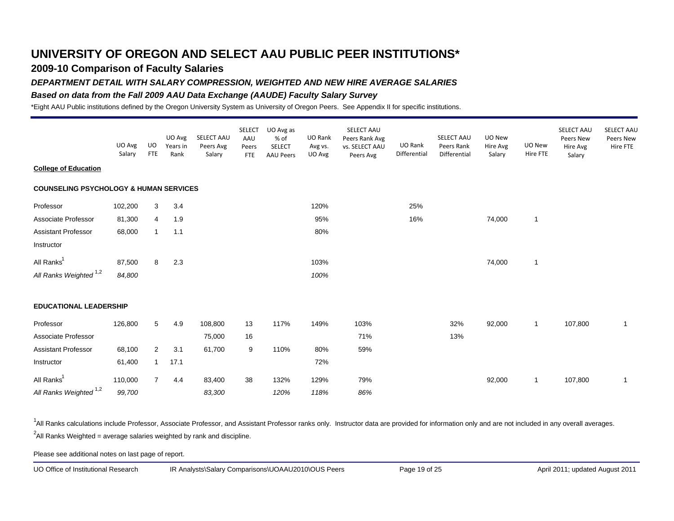## **2009-10 Comparison of Faculty Salaries**

#### *DEPARTMENT DETAIL WITH SALARY COMPRESSION, WEIGHTED AND NEW HIRE AVERAGE SALARIES*

#### *Based on data from the Fall 2009 AAU Data Exchange (AAUDE) Faculty Salary Survey*

\*Eight AAU Public institutions defined by the Oregon University System as University of Oregon Peers. See Appendix II for specific institutions.

|                                                   | UO Avg<br>Salary | UO<br><b>FTE</b> | UO Avg<br>Years in<br>Rank | SELECT AAU<br>Peers Avg<br>Salary | <b>SELECT</b><br>AAU<br>Peers<br><b>FTE</b> | UO Avg as<br>% of<br><b>SELECT</b><br><b>AAU Peers</b> | UO Rank<br>Avg vs.<br>UO Avg | SELECT AAU<br>Peers Rank Avg<br>vs. SELECT AAU<br>Peers Avg | UO Rank<br>Differential | SELECT AAU<br>Peers Rank<br>Differential | UO New<br>Hire Avg<br>Salary | UO New<br>Hire FTE | SELECT AAU<br>Peers New<br>Hire Avg<br>Salary | SELECT AAU<br>Peers New<br>Hire FTE |
|---------------------------------------------------|------------------|------------------|----------------------------|-----------------------------------|---------------------------------------------|--------------------------------------------------------|------------------------------|-------------------------------------------------------------|-------------------------|------------------------------------------|------------------------------|--------------------|-----------------------------------------------|-------------------------------------|
| <b>College of Education</b>                       |                  |                  |                            |                                   |                                             |                                                        |                              |                                                             |                         |                                          |                              |                    |                                               |                                     |
| <b>COUNSELING PSYCHOLOGY &amp; HUMAN SERVICES</b> |                  |                  |                            |                                   |                                             |                                                        |                              |                                                             |                         |                                          |                              |                    |                                               |                                     |
| Professor                                         | 102,200          | 3                | 3.4                        |                                   |                                             |                                                        | 120%                         |                                                             | 25%                     |                                          |                              |                    |                                               |                                     |
| Associate Professor                               | 81,300           | 4                | 1.9                        |                                   |                                             |                                                        | 95%                          |                                                             | 16%                     |                                          | 74,000                       | $\mathbf{1}$       |                                               |                                     |
| <b>Assistant Professor</b>                        | 68,000           | $\mathbf{1}$     | 1.1                        |                                   |                                             |                                                        | 80%                          |                                                             |                         |                                          |                              |                    |                                               |                                     |
| Instructor                                        |                  |                  |                            |                                   |                                             |                                                        |                              |                                                             |                         |                                          |                              |                    |                                               |                                     |
| All Ranks <sup>1</sup>                            | 87,500           | 8                | 2.3                        |                                   |                                             |                                                        | 103%                         |                                                             |                         |                                          | 74,000                       | $\overline{1}$     |                                               |                                     |
| All Ranks Weighted <sup>1,2</sup>                 | 84,800           |                  |                            |                                   |                                             |                                                        | 100%                         |                                                             |                         |                                          |                              |                    |                                               |                                     |
| <b>EDUCATIONAL LEADERSHIP</b>                     |                  |                  |                            |                                   |                                             |                                                        |                              |                                                             |                         |                                          |                              |                    |                                               |                                     |
| Professor                                         | 126,800          | 5                | 4.9                        | 108,800                           | 13                                          | 117%                                                   | 149%                         | 103%                                                        |                         | 32%                                      | 92,000                       | $\mathbf{1}$       | 107,800                                       | $\mathbf{1}$                        |
| Associate Professor                               |                  |                  |                            | 75,000                            | 16                                          |                                                        |                              | 71%                                                         |                         | 13%                                      |                              |                    |                                               |                                     |
| <b>Assistant Professor</b>                        | 68,100           | $\overline{2}$   | 3.1                        | 61,700                            | 9                                           | 110%                                                   | 80%                          | 59%                                                         |                         |                                          |                              |                    |                                               |                                     |
| Instructor                                        | 61,400           | $\mathbf{1}$     | 17.1                       |                                   |                                             |                                                        | 72%                          |                                                             |                         |                                          |                              |                    |                                               |                                     |
| All Ranks <sup>1</sup>                            | 110,000          | $\overline{7}$   | 4.4                        | 83,400                            | 38                                          | 132%                                                   | 129%                         | 79%                                                         |                         |                                          | 92,000                       | $\mathbf{1}$       | 107,800                                       | $\mathbf{1}$                        |
| All Ranks Weighted <sup>1,2</sup>                 | 99,700           |                  |                            | 83,300                            |                                             | 120%                                                   | 118%                         | 86%                                                         |                         |                                          |                              |                    |                                               |                                     |

<sup>1</sup>All Ranks calculations include Professor, Associate Professor, and Assistant Professor ranks only. Instructor data are provided for information only and are not included in any overall averages.  $^2$ All Ranks Weighted = average salaries weighted by rank and discipline.

Please see additional notes on last page of report.

UO Office of Institutional Research IR Analysts\Salary Comparisons\UOAAU2010\OUS Peers Page 19 of 25 April 2011; updated August 2011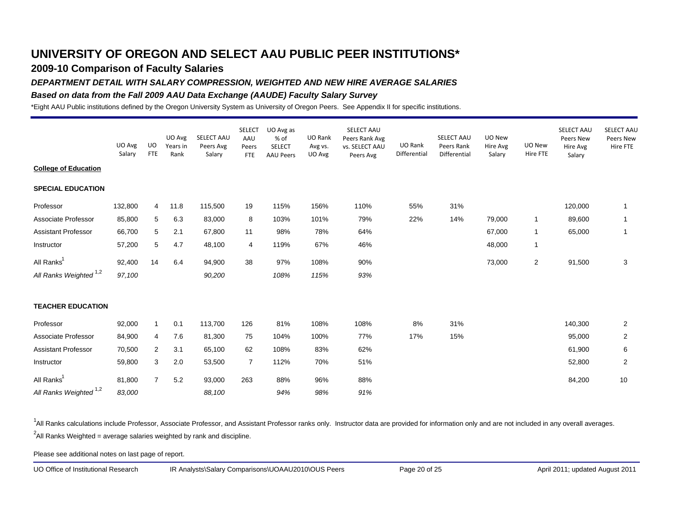## **2009-10 Comparison of Faculty Salaries**

#### *DEPARTMENT DETAIL WITH SALARY COMPRESSION, WEIGHTED AND NEW HIRE AVERAGE SALARIES*

#### *Based on data from the Fall 2009 AAU Data Exchange (AAUDE) Faculty Salary Survey*

\*Eight AAU Public institutions defined by the Oregon University System as University of Oregon Peers. See Appendix II for specific institutions.

|                                   | UO Avg<br>Salary | <b>UO</b><br><b>FTE</b> | UO Avg<br>Years in<br>Rank | SELECT AAU<br>Peers Avg<br>Salary | <b>SELECT</b><br>AAU<br>Peers<br><b>FTE</b> | UO Avg as<br>% of<br><b>SELECT</b><br><b>AAU Peers</b> | UO Rank<br>Avg vs.<br>UO Avg | SELECT AAU<br>Peers Rank Avg<br>vs. SELECT AAU<br>Peers Avg | UO Rank<br>Differential | SELECT AAU<br>Peers Rank<br>Differential | UO New<br>Hire Avg<br>Salary | UO New<br>Hire FTE | SELECT AAU<br>Peers New<br>Hire Avg<br>Salary | SELECT AAL<br>Peers New<br>Hire FTE |
|-----------------------------------|------------------|-------------------------|----------------------------|-----------------------------------|---------------------------------------------|--------------------------------------------------------|------------------------------|-------------------------------------------------------------|-------------------------|------------------------------------------|------------------------------|--------------------|-----------------------------------------------|-------------------------------------|
| <b>College of Education</b>       |                  |                         |                            |                                   |                                             |                                                        |                              |                                                             |                         |                                          |                              |                    |                                               |                                     |
| <b>SPECIAL EDUCATION</b>          |                  |                         |                            |                                   |                                             |                                                        |                              |                                                             |                         |                                          |                              |                    |                                               |                                     |
| Professor                         | 132,800          | $\overline{4}$          | 11.8                       | 115,500                           | 19                                          | 115%                                                   | 156%                         | 110%                                                        | 55%                     | 31%                                      |                              |                    | 120,000                                       | 1                                   |
| Associate Professor               | 85,800           | 5                       | 6.3                        | 83,000                            | 8                                           | 103%                                                   | 101%                         | 79%                                                         | 22%                     | 14%                                      | 79,000                       | 1                  | 89,600                                        | 1                                   |
| <b>Assistant Professor</b>        | 66,700           | 5                       | 2.1                        | 67,800                            | 11                                          | 98%                                                    | 78%                          | 64%                                                         |                         |                                          | 67,000                       | 1                  | 65,000                                        | 1                                   |
| Instructor                        | 57,200           | 5                       | 4.7                        | 48,100                            | 4                                           | 119%                                                   | 67%                          | 46%                                                         |                         |                                          | 48,000                       | 1                  |                                               |                                     |
| All Ranks <sup>1</sup>            | 92,400           | 14                      | 6.4                        | 94,900                            | 38                                          | 97%                                                    | 108%                         | 90%                                                         |                         |                                          | 73,000                       | $\overline{2}$     | 91,500                                        | 3                                   |
| All Ranks Weighted <sup>1,2</sup> | 97,100           |                         |                            | 90,200                            |                                             | 108%                                                   | 115%                         | 93%                                                         |                         |                                          |                              |                    |                                               |                                     |
| <b>TEACHER EDUCATION</b>          |                  |                         |                            |                                   |                                             |                                                        |                              |                                                             |                         |                                          |                              |                    |                                               |                                     |
| Professor                         | 92,000           | $\mathbf{1}$            | 0.1                        | 113,700                           | 126                                         | 81%                                                    | 108%                         | 108%                                                        | 8%                      | 31%                                      |                              |                    | 140,300                                       | $\overline{2}$                      |
| Associate Professor               | 84,900           | 4                       | 7.6                        | 81,300                            | 75                                          | 104%                                                   | 100%                         | 77%                                                         | 17%                     | 15%                                      |                              |                    | 95,000                                        | $\overline{2}$                      |
| <b>Assistant Professor</b>        | 70,500           | 2                       | 3.1                        | 65,100                            | 62                                          | 108%                                                   | 83%                          | 62%                                                         |                         |                                          |                              |                    | 61,900                                        | 6                                   |
| Instructor                        | 59,800           | 3                       | 2.0                        | 53,500                            | $\overline{7}$                              | 112%                                                   | 70%                          | 51%                                                         |                         |                                          |                              |                    | 52,800                                        | $\overline{2}$                      |
| All Ranks <sup>1</sup>            | 81,800           | $\overline{7}$          | 5.2                        | 93,000                            | 263                                         | 88%                                                    | 96%                          | 88%                                                         |                         |                                          |                              |                    | 84,200                                        | 10                                  |
| All Ranks Weighted <sup>1,2</sup> | 83,000           |                         |                            | 88,100                            |                                             | 94%                                                    | 98%                          | 91%                                                         |                         |                                          |                              |                    |                                               |                                     |

<sup>1</sup>All Ranks calculations include Professor, Associate Professor, and Assistant Professor ranks only. Instructor data are provided for information only and are not included in any overall averages.  $^2$ All Ranks Weighted = average salaries weighted by rank and discipline.

Please see additional notes on last page of report.

UO Office of Institutional Research IR Analysts\Salary Comparisons\UOAAU2010\OUS Peers Page 20 of 25 April 2011; updated August 2011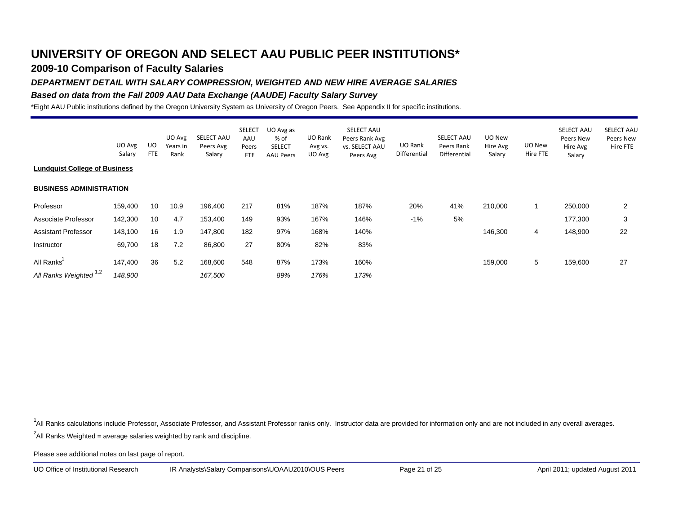## **2009-10 Comparison of Faculty Salaries**

### *DEPARTMENT DETAIL WITH SALARY COMPRESSION, WEIGHTED AND NEW HIRE AVERAGE SALARIES*

#### *Based on data from the Fall 2009 AAU Data Exchange (AAUDE) Faculty Salary Survey*

\*Eight AAU Public institutions defined by the Oregon University System as University of Oregon Peers. See Appendix II for specific institutions.

|                                      | UO Avg  | UO         | UO Avg<br>Years in | SELECT AAU<br>Peers Avg | <b>SELECT</b><br>AAU<br>Peers | UO Avg as<br>% of<br><b>SELECT</b> | UO Rank<br>Avg vs. | <b>SELECT AAU</b><br>Peers Rank Avg<br><b>vs. SELECT AAU</b> | UO Rank      | <b>SELECT AAU</b><br>Peers Rank | UO New<br>Hire Avg | UO New   | SELECT AAU<br>Peers New<br>Hire Avg | <b>SELECT AAU</b><br>Peers New<br>Hire FTE |
|--------------------------------------|---------|------------|--------------------|-------------------------|-------------------------------|------------------------------------|--------------------|--------------------------------------------------------------|--------------|---------------------------------|--------------------|----------|-------------------------------------|--------------------------------------------|
|                                      | Salary  | <b>FTE</b> | Rank               | Salary                  | FTE                           | <b>AAU Peers</b>                   | UO Avg             | Peers Avg                                                    | Differential | Differential                    | Salary             | Hire FTE | Salary                              |                                            |
| <b>Lundquist College of Business</b> |         |            |                    |                         |                               |                                    |                    |                                                              |              |                                 |                    |          |                                     |                                            |
| <b>BUSINESS ADMINISTRATION</b>       |         |            |                    |                         |                               |                                    |                    |                                                              |              |                                 |                    |          |                                     |                                            |
| Professor                            | 159,400 | 10         | 10.9               | 196,400                 | 217                           | 81%                                | 187%               | 187%                                                         | 20%          | 41%                             | 210,000            |          | 250,000                             | $\overline{2}$                             |
| Associate Professor                  | 142,300 | 10         | 4.7                | 153,400                 | 149                           | 93%                                | 167%               | 146%                                                         | $-1\%$       | 5%                              |                    |          | 177,300                             | 3                                          |
| <b>Assistant Professor</b>           | 143,100 | 16         | 1.9                | 147,800                 | 182                           | 97%                                | 168%               | 140%                                                         |              |                                 | 146,300            | 4        | 148,900                             | 22                                         |
| Instructor                           | 69,700  | 18         | 7.2                | 86,800                  | 27                            | 80%                                | 82%                | 83%                                                          |              |                                 |                    |          |                                     |                                            |
| All Ranks                            | 147,400 | 36         | 5.2                | 168,600                 | 548                           | 87%                                | 173%               | 160%                                                         |              |                                 | 159,000            | 5        | 159,600                             | 27                                         |
| All Ranks Weighted <sup>1,2</sup>    | 148,900 |            |                    | 167,500                 |                               | 89%                                | 176%               | 173%                                                         |              |                                 |                    |          |                                     |                                            |

<sup>1</sup>All Ranks calculations include Professor, Associate Professor, and Assistant Professor ranks only. Instructor data are provided for information only and are not included in any overall averages.

 $^2$ All Ranks Weighted = average salaries weighted by rank and discipline.

Please see additional notes on last page of report.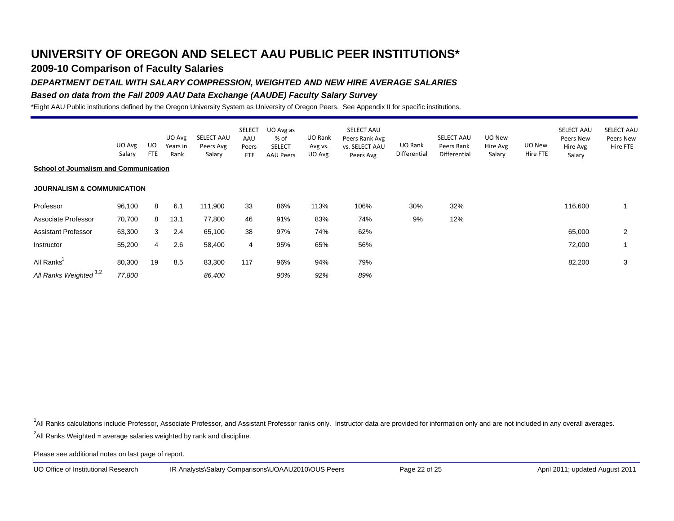## **2009-10 Comparison of Faculty Salaries**

### *DEPARTMENT DETAIL WITH SALARY COMPRESSION, WEIGHTED AND NEW HIRE AVERAGE SALARIES*

### *Based on data from the Fall 2009 AAU Data Exchange (AAUDE) Faculty Salary Survey*

\*Eight AAU Public institutions defined by the Oregon University System as University of Oregon Peers. See Appendix II for specific institutions.

|                                               |                  |                   | UO Avg           | SELECT AAU          | <b>SELECT</b><br>AAU | UO Avg as<br>% of                 | UO Rank           | SELECT AAU<br>Peers Rank Avg |                         | SELECT AAU                 | UO New             |                    | SELECT AAU<br>Peers New | SELECT AAL<br>Peers New |
|-----------------------------------------------|------------------|-------------------|------------------|---------------------|----------------------|-----------------------------------|-------------------|------------------------------|-------------------------|----------------------------|--------------------|--------------------|-------------------------|-------------------------|
|                                               | UO Avg<br>Salary | UO.<br><b>FTE</b> | Years in<br>Rank | Peers Avg<br>Salary | Peers<br><b>FTE</b>  | <b>SELECT</b><br><b>AAU Peers</b> | Avg vs.<br>UO Avg | vs. SELECT AAU<br>Peers Avg  | UO Rank<br>Differential | Peers Rank<br>Differential | Hire Avg<br>Salary | UO New<br>Hire FTE | Hire Avg<br>Salary      | Hire FTE                |
| <b>School of Journalism and Communication</b> |                  |                   |                  |                     |                      |                                   |                   |                              |                         |                            |                    |                    |                         |                         |
| <b>JOURNALISM &amp; COMMUNICATION</b>         |                  |                   |                  |                     |                      |                                   |                   |                              |                         |                            |                    |                    |                         |                         |
| Professor                                     | 96,100           | 8                 | 6.1              | 111,900             | 33                   | 86%                               | 113%              | 106%                         | 30%                     | 32%                        |                    |                    | 116,600                 |                         |
| Associate Professor                           | 70,700           | 8                 | 13.1             | 77,800              | 46                   | 91%                               | 83%               | 74%                          | 9%                      | 12%                        |                    |                    |                         |                         |
| <b>Assistant Professor</b>                    | 63,300           | 3                 | 2.4              | 65,100              | 38                   | 97%                               | 74%               | 62%                          |                         |                            |                    |                    | 65,000                  | 2                       |
| Instructor                                    | 55,200           | 4                 | 2.6              | 58,400              | 4                    | 95%                               | 65%               | 56%                          |                         |                            |                    |                    | 72,000                  |                         |
| All Ranks                                     | 80,300           | 19                | 8.5              | 83,300              | 117                  | 96%                               | 94%               | 79%                          |                         |                            |                    |                    | 82,200                  | 3                       |
| All Ranks Weighted <sup>1,2</sup>             | 77,800           |                   |                  | 86,400              |                      | 90%                               | 92%               | 89%                          |                         |                            |                    |                    |                         |                         |

<sup>1</sup>All Ranks calculations include Professor, Associate Professor, and Assistant Professor ranks only. Instructor data are provided for information only and are not included in any overall averages.

 $^2$ All Ranks Weighted = average salaries weighted by rank and discipline.

Please see additional notes on last page of report.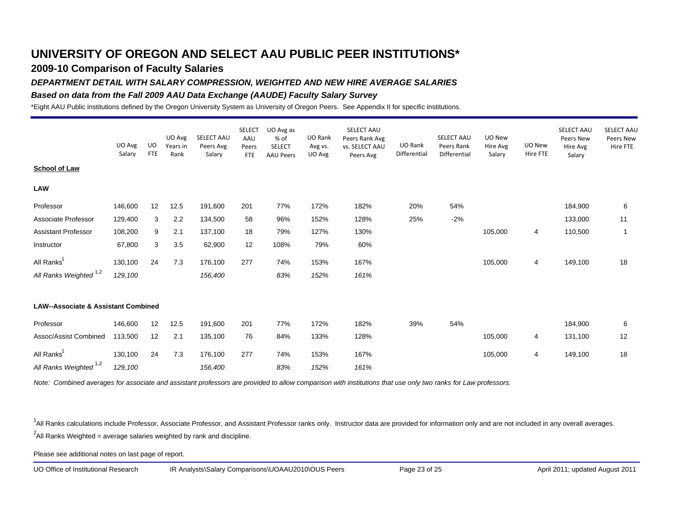### **2009-10 Comparison of Faculty Salaries**

### *DEPARTMENT DETAIL WITH SALARY COMPRESSION, WEIGHTED AND NEW HIRE AVERAGE SALARIES*

#### *Based on data from the Fall 2009 AAU Data Exchange (AAUDE) Faculty Salary Survey*

\*Eight AAU Public institutions defined by the Oregon University System as University of Oregon Peers. See Appendix II for specific institutions.

|                                                | UO Avg  | UO.        | UO Avg<br>Years in | SELECT AAU<br>Peers Avg | <b>SELECT</b><br>AAU<br>Peers | UO Avg as<br>% of<br><b>SELECT</b> | UO Rank<br>Avg vs. | SELECT AAU<br>Peers Rank Avg<br><b>vs. SELECT AAU</b> | UO Rank      | SELECT AAU<br>Peers Rank | UO New<br>Hire Avg | UO New         | SELECT AAU<br>Peers New<br>Hire Avg | SELECT AAU<br>Peers New<br>Hire FTE |
|------------------------------------------------|---------|------------|--------------------|-------------------------|-------------------------------|------------------------------------|--------------------|-------------------------------------------------------|--------------|--------------------------|--------------------|----------------|-------------------------------------|-------------------------------------|
| <b>School of Law</b>                           | Salary  | <b>FTE</b> | Rank               | Salary                  | <b>FTE</b>                    | <b>AAU Peers</b>                   | UO Avg             | Peers Avg                                             | Differential | Differential             | Salary             | Hire FTE       | Salary                              |                                     |
| <b>LAW</b>                                     |         |            |                    |                         |                               |                                    |                    |                                                       |              |                          |                    |                |                                     |                                     |
| Professor                                      | 146,600 | 12         | 12.5               | 191,600                 | 201                           | 77%                                | 172%               | 182%                                                  | 20%          | 54%                      |                    |                | 184,900                             | 6                                   |
| Associate Professor                            | 129,400 | 3          | 2.2                | 134,500                 | 58                            | 96%                                | 152%               | 128%                                                  | 25%          | $-2%$                    |                    |                | 133,000                             | 11                                  |
| <b>Assistant Professor</b>                     | 108,200 | 9          | 2.1                | 137,100                 | 18                            | 79%                                | 127%               | 130%                                                  |              |                          | 105,000            | 4              | 110,500                             | 1                                   |
| Instructor                                     | 67,800  | 3          | 3.5                | 62,900                  | 12                            | 108%                               | 79%                | 60%                                                   |              |                          |                    |                |                                     |                                     |
| All Ranks <sup>1</sup>                         | 130,100 | 24         | 7.3                | 176,100                 | 277                           | 74%                                | 153%               | 167%                                                  |              |                          | 105,000            | 4              | 149,100                             | 18                                  |
| All Ranks Weighted <sup>1,2</sup>              | 129,100 |            |                    | 156,400                 |                               | 83%                                | 152%               | 161%                                                  |              |                          |                    |                |                                     |                                     |
|                                                |         |            |                    |                         |                               |                                    |                    |                                                       |              |                          |                    |                |                                     |                                     |
| <b>LAW--Associate &amp; Assistant Combined</b> |         |            |                    |                         |                               |                                    |                    |                                                       |              |                          |                    |                |                                     |                                     |
| Professor                                      | 146,600 | 12         | 12.5               | 191,600                 | 201                           | 77%                                | 172%               | 182%                                                  | 39%          | 54%                      |                    |                | 184,900                             | 6                                   |
| Assoc/Assist Combined                          | 113,500 | 12         | 2.1                | 135,100                 | 76                            | 84%                                | 133%               | 128%                                                  |              |                          | 105,000            | 4              | 131,100                             | 12                                  |
| All Ranks <sup>1</sup>                         | 130,100 | 24         | 7.3                | 176,100                 | 277                           | 74%                                | 153%               | 167%                                                  |              |                          | 105,000            | $\overline{4}$ | 149,100                             | 18                                  |
| All Ranks Weighted 1,2                         | 129,100 |            |                    | 156,400                 |                               | 83%                                | 152%               | 161%                                                  |              |                          |                    |                |                                     |                                     |

*Note: Combined averages for associate and assistant professors are provided to allow comparison with institutions that use only two ranks for Law professors.*

<sup>1</sup>All Ranks calculations include Professor, Associate Professor, and Assistant Professor ranks only. Instructor data are provided for information only and are not included in any overall averages.  $^2$ All Ranks Weighted = average salaries weighted by rank and discipline.

Please see additional notes on last page of report.

UO Office of Institutional Research IR Analysts\Salary Comparisons\UOAAU2010\OUS Peers Page 23 of 25 April 2011; updated August 2011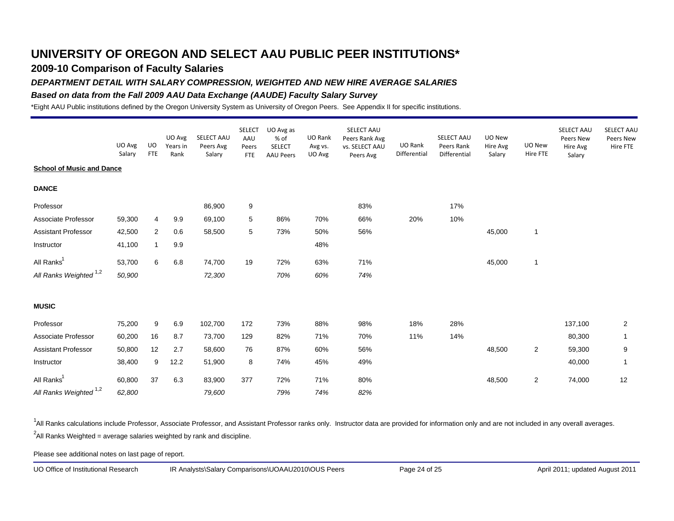## **2009-10 Comparison of Faculty Salaries**

#### *DEPARTMENT DETAIL WITH SALARY COMPRESSION, WEIGHTED AND NEW HIRE AVERAGE SALARIES*

#### *Based on data from the Fall 2009 AAU Data Exchange (AAUDE) Faculty Salary Survey*

\*Eight AAU Public institutions defined by the Oregon University System as University of Oregon Peers. See Appendix II for specific institutions.

|                                   | UO Avg | <b>UO</b>    | UO Avg<br>Years in | SELECT AAU<br>Peers Avg | <b>SELECT</b><br>AAU<br>Peers | UO Avg as<br>% of<br><b>SELECT</b> | UO Rank<br>Avg vs. | SELECT AAU<br>Peers Rank Avg<br>vs. SELECT AAU | UO Rank      | SELECT AAU<br>Peers Rank | UO New<br>Hire Avg | UO New         | SELECT AAU<br>Peers New<br>Hire Avg | <b>SELECT AAU</b><br>Peers New<br>Hire FTE |
|-----------------------------------|--------|--------------|--------------------|-------------------------|-------------------------------|------------------------------------|--------------------|------------------------------------------------|--------------|--------------------------|--------------------|----------------|-------------------------------------|--------------------------------------------|
|                                   | Salary | <b>FTE</b>   | Rank               | Salary                  | <b>FTE</b>                    | <b>AAU Peers</b>                   | UO Avg             | Peers Avg                                      | Differential | Differential             | Salary             | Hire FTE       | Salary                              |                                            |
| <b>School of Music and Dance</b>  |        |              |                    |                         |                               |                                    |                    |                                                |              |                          |                    |                |                                     |                                            |
| <b>DANCE</b>                      |        |              |                    |                         |                               |                                    |                    |                                                |              |                          |                    |                |                                     |                                            |
| Professor                         |        |              |                    | 86,900                  | 9                             |                                    |                    | 83%                                            |              | 17%                      |                    |                |                                     |                                            |
| Associate Professor               | 59,300 | 4            | 9.9                | 69,100                  | 5                             | 86%                                | 70%                | 66%                                            | 20%          | 10%                      |                    |                |                                     |                                            |
| <b>Assistant Professor</b>        | 42,500 | 2            | 0.6                | 58,500                  | 5                             | 73%                                | 50%                | 56%                                            |              |                          | 45,000             | $\overline{1}$ |                                     |                                            |
| Instructor                        | 41,100 | $\mathbf{1}$ | 9.9                |                         |                               |                                    | 48%                |                                                |              |                          |                    |                |                                     |                                            |
| All Ranks <sup>1</sup>            | 53,700 | 6            | 6.8                | 74,700                  | 19                            | 72%                                | 63%                | 71%                                            |              |                          | 45,000             | $\mathbf{1}$   |                                     |                                            |
| All Ranks Weighted <sup>1,2</sup> | 50,900 |              |                    | 72,300                  |                               | 70%                                | 60%                | 74%                                            |              |                          |                    |                |                                     |                                            |
| <b>MUSIC</b>                      |        |              |                    |                         |                               |                                    |                    |                                                |              |                          |                    |                |                                     |                                            |
| Professor                         | 75,200 | 9            | 6.9                | 102,700                 | 172                           | 73%                                | 88%                | 98%                                            | 18%          | 28%                      |                    |                | 137,100                             | $\overline{2}$                             |
| Associate Professor               | 60,200 | 16           | 8.7                | 73,700                  | 129                           | 82%                                | 71%                | 70%                                            | 11%          | 14%                      |                    |                | 80,300                              | $\mathbf{1}$                               |
| <b>Assistant Professor</b>        | 50,800 | 12           | 2.7                | 58,600                  | 76                            | 87%                                | 60%                | 56%                                            |              |                          | 48,500             | $\overline{2}$ | 59,300                              | $\boldsymbol{9}$                           |
| Instructor                        | 38,400 | 9            | 12.2               | 51,900                  | 8                             | 74%                                | 45%                | 49%                                            |              |                          |                    |                | 40,000                              | $\overline{1}$                             |
| All Ranks <sup>1</sup>            | 60,800 | 37           | 6.3                | 83,900                  | 377                           | 72%                                | 71%                | 80%                                            |              |                          | 48,500             | $\overline{2}$ | 74,000                              | 12                                         |
| All Ranks Weighted <sup>1,2</sup> | 62,800 |              |                    | 79,600                  |                               | 79%                                | 74%                | 82%                                            |              |                          |                    |                |                                     |                                            |

<sup>1</sup>All Ranks calculations include Professor, Associate Professor, and Assistant Professor ranks only. Instructor data are provided for information only and are not included in any overall averages.  $^2$ All Ranks Weighted = average salaries weighted by rank and discipline.

Please see additional notes on last page of report.

UO Office of Institutional Research IR Analysts\Salary Comparisons\UOAAU2010\OUS Peers Page 24 of 25 April 2011; updated August 2011